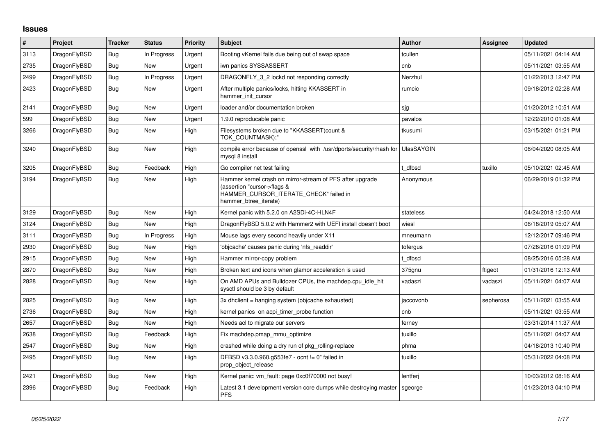## **Issues**

| $\vert$ # | Project      | <b>Tracker</b> | <b>Status</b> | Priority | <b>Subject</b>                                                                                                                                              | <b>Author</b>     | Assignee  | <b>Updated</b>      |
|-----------|--------------|----------------|---------------|----------|-------------------------------------------------------------------------------------------------------------------------------------------------------------|-------------------|-----------|---------------------|
| 3113      | DragonFlyBSD | Bug            | In Progress   | Urgent   | Booting vKernel fails due being out of swap space                                                                                                           | tcullen           |           | 05/11/2021 04:14 AM |
| 2735      | DragonFlyBSD | Bug            | New           | Urgent   | iwn panics SYSSASSERT                                                                                                                                       | cnb               |           | 05/11/2021 03:55 AM |
| 2499      | DragonFlyBSD | Bug            | In Progress   | Urgent   | DRAGONFLY 3 2 lockd not responding correctly                                                                                                                | Nerzhul           |           | 01/22/2013 12:47 PM |
| 2423      | DragonFlyBSD | Bug            | New           | Urgent   | After multiple panics/locks, hitting KKASSERT in<br>hammer init cursor                                                                                      | rumcic            |           | 09/18/2012 02:28 AM |
| 2141      | DragonFlyBSD | <b>Bug</b>     | <b>New</b>    | Urgent   | loader and/or documentation broken                                                                                                                          | sjg               |           | 01/20/2012 10:51 AM |
| 599       | DragonFlyBSD | Bug            | New           | Urgent   | 1.9.0 reproducable panic                                                                                                                                    | pavalos           |           | 12/22/2010 01:08 AM |
| 3266      | DragonFlyBSD | <b>Bug</b>     | New           | High     | Filesystems broken due to "KKASSERT(count &<br>TOK COUNTMASK);"                                                                                             | tkusumi           |           | 03/15/2021 01:21 PM |
| 3240      | DragonFlyBSD | <b>Bug</b>     | <b>New</b>    | High     | compile error because of openssl with /usr/dports/security/rhash for<br>mysgl 8 install                                                                     | <b>UlasSAYGIN</b> |           | 06/04/2020 08:05 AM |
| 3205      | DragonFlyBSD | <b>Bug</b>     | Feedback      | High     | Go compiler net test failing                                                                                                                                | dfbsd             | tuxillo   | 05/10/2021 02:45 AM |
| 3194      | DragonFlyBSD | Bug            | New           | High     | Hammer kernel crash on mirror-stream of PFS after upgrade<br>(assertion "cursor->flags &<br>HAMMER_CURSOR_ITERATE_CHECK" failed in<br>hammer btree iterate) | Anonymous         |           | 06/29/2019 01:32 PM |
| 3129      | DragonFlyBSD | Bug            | New           | High     | Kernel panic with 5.2.0 on A2SDi-4C-HLN4F                                                                                                                   | stateless         |           | 04/24/2018 12:50 AM |
| 3124      | DragonFlyBSD | Bug            | <b>New</b>    | High     | DragonFlyBSD 5.0.2 with Hammer2 with UEFI install doesn't boot                                                                                              | wiesl             |           | 06/18/2019 05:07 AM |
| 3111      | DragonFlyBSD | Bug            | In Progress   | High     | Mouse lags every second heavily under X11                                                                                                                   | mneumann          |           | 12/12/2017 09:46 PM |
| 2930      | DragonFlyBSD | <b>Bug</b>     | <b>New</b>    | High     | 'objcache' causes panic during 'nfs_readdir'                                                                                                                | tofergus          |           | 07/26/2016 01:09 PM |
| 2915      | DragonFlyBSD | Bug            | New           | High     | Hammer mirror-copy problem                                                                                                                                  | t dfbsd           |           | 08/25/2016 05:28 AM |
| 2870      | DragonFlyBSD | Bug            | New           | High     | Broken text and icons when glamor acceleration is used                                                                                                      | 375gnu            | ftigeot   | 01/31/2016 12:13 AM |
| 2828      | DragonFlyBSD | Bug            | New           | High     | On AMD APUs and Bulldozer CPUs, the machdep.cpu_idle_hlt<br>sysctl should be 3 by default                                                                   | vadaszi           | vadaszi   | 05/11/2021 04:07 AM |
| 2825      | DragonFlyBSD | <b>Bug</b>     | New           | High     | 3x dhclient = hanging system (objcache exhausted)                                                                                                           | jaccovonb         | sepherosa | 05/11/2021 03:55 AM |
| 2736      | DragonFlyBSD | <b>Bug</b>     | New           | High     | kernel panics on acpi timer probe function                                                                                                                  | cnb               |           | 05/11/2021 03:55 AM |
| 2657      | DragonFlyBSD | Bug            | New           | High     | Needs acl to migrate our servers                                                                                                                            | ferney            |           | 03/31/2014 11:37 AM |
| 2638      | DragonFlyBSD | Bug            | Feedback      | High     | Fix machdep.pmap mmu optimize                                                                                                                               | tuxillo           |           | 05/11/2021 04:07 AM |
| 2547      | DragonFlyBSD | Bug            | New           | High     | crashed while doing a dry run of pkg_rolling-replace                                                                                                        | phma              |           | 04/18/2013 10:40 PM |
| 2495      | DragonFlyBSD | <b>Bug</b>     | New           | High     | DFBSD v3.3.0.960.g553fe7 - ocnt != 0" failed in<br>prop_object_release                                                                                      | tuxillo           |           | 05/31/2022 04:08 PM |
| 2421      | DragonFlyBSD | Bug            | New           | High     | Kernel panic: vm fault: page 0xc0f70000 not busy!                                                                                                           | lentferj          |           | 10/03/2012 08:16 AM |
| 2396      | DragonFlyBSD | Bug            | Feedback      | High     | Latest 3.1 development version core dumps while destroying master<br><b>PFS</b>                                                                             | sgeorge           |           | 01/23/2013 04:10 PM |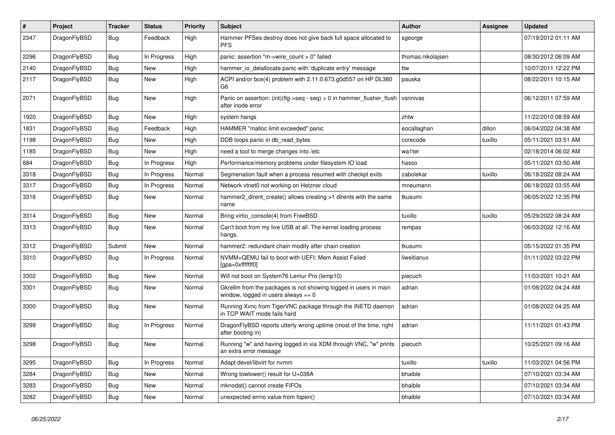| $\sharp$ | Project      | <b>Tracker</b> | <b>Status</b> | <b>Priority</b> | <b>Subject</b>                                                                                            | <b>Author</b>     | Assignee | Updated             |
|----------|--------------|----------------|---------------|-----------------|-----------------------------------------------------------------------------------------------------------|-------------------|----------|---------------------|
| 2347     | DragonFlyBSD | Bug            | Feedback      | High            | Hammer PFSes destroy does not give back full space allocated to<br><b>PFS</b>                             | sgeorge           |          | 07/19/2012 01:11 AM |
| 2296     | DragonFlyBSD | <b>Bug</b>     | In Progress   | High            | panic: assertion "m->wire_count > 0" failed                                                               | thomas.nikolajsen |          | 08/30/2012 06:09 AM |
| 2140     | DragonFlyBSD | <b>Bug</b>     | <b>New</b>    | High            | hammer io delallocate panic with 'duplicate entry' message                                                | ttw               |          | 10/07/2011 12:22 PM |
| 2117     | DragonFlyBSD | <b>Bug</b>     | <b>New</b>    | High            | ACPI and/or bce(4) problem with 2.11.0.673.g0d557 on HP DL380<br>G6                                       | pauska            |          | 08/22/2011 10:15 AM |
| 2071     | DragonFlyBSD | Bug            | <b>New</b>    | High            | Panic on assertion: $(int)(flag->seq - seq) > 0$ in hammer_flusher_flush<br>after inode error             | vsrinivas         |          | 06/12/2011 07:59 AM |
| 1920     | DragonFlyBSD | Bug            | <b>New</b>    | High            | system hangs                                                                                              | zhtw              |          | 11/22/2010 08:59 AM |
| 1831     | DragonFlyBSD | Bug            | Feedback      | High            | HAMMER "malloc limit exceeded" panic                                                                      | eocallaghan       | dillon   | 06/04/2022 04:38 AM |
| 1198     | DragonFlyBSD | <b>Bug</b>     | <b>New</b>    | High            | DDB loops panic in db read bytes                                                                          | corecode          | tuxillo  | 05/11/2021 03:51 AM |
| 1185     | DragonFlyBSD | Bug            | <b>New</b>    | High            | need a tool to merge changes into /etc                                                                    | wa1ter            |          | 02/18/2014 06:02 AM |
| 884      | DragonFlyBSD | <b>Bug</b>     | In Progress   | High            | Performance/memory problems under filesystem IO load                                                      | hasso             |          | 05/11/2021 03:50 AM |
| 3318     | DragonFlyBSD | Bug            | In Progress   | Normal          | Segmenation fault when a process resumed with checkpt exits                                               | zabolekar         | tuxillo  | 06/18/2022 08:24 AM |
| 3317     | DragonFlyBSD | <b>Bug</b>     | In Progress   | Normal          | Network vtnet0 not working on Hetzner cloud                                                               | mneumann          |          | 06/18/2022 03:55 AM |
| 3316     | DragonFlyBSD | <b>Bug</b>     | <b>New</b>    | Normal          | hammer2_dirent_create() allows creating >1 dirents with the same<br>name                                  | tkusumi           |          | 06/05/2022 12:35 PM |
| 3314     | DragonFlyBSD | Bug            | <b>New</b>    | Normal          | Bring virtio console(4) from FreeBSD                                                                      | tuxillo           | tuxillo  | 05/29/2022 08:24 AM |
| 3313     | DragonFlyBSD | <b>Bug</b>     | <b>New</b>    | Normal          | Can't boot from my live USB at all. The kernel loading process<br>hangs.                                  | rempas            |          | 06/03/2022 12:16 AM |
| 3312     | DragonFlyBSD | Submit         | New           | Normal          | hammer2: redundant chain modify after chain creation                                                      | tkusumi           |          | 05/15/2022 01:35 PM |
| 3310     | DragonFlyBSD | <b>Bug</b>     | In Progress   | Normal          | NVMM+QEMU fail to boot with UEFI: Mem Assist Failed<br>[gpa=0xfffffff0]                                   | liweitianux       |          | 01/11/2022 03:22 PM |
| 3302     | DragonFlyBSD | Bug            | <b>New</b>    | Normal          | Will not boot on System76 Lemur Pro (lemp10)                                                              | piecuch           |          | 11/03/2021 10:21 AM |
| 3301     | DragonFlyBSD | <b>Bug</b>     | <b>New</b>    | Normal          | Gkrellm from the packages is not showing logged in users in main<br>window, logged in users always $== 0$ | adrian            |          | 01/08/2022 04:24 AM |
| 3300     | DragonFlyBSD | Bug            | <b>New</b>    | Normal          | Running Xvnc from TigerVNC package through the INETD daemon<br>in TCP WAIT mode fails hard                | adrian            |          | 01/08/2022 04:25 AM |
| 3299     | DragonFlyBSD | Bug            | In Progress   | Normal          | DragonFlyBSD reports utterly wrong uptime (most of the time, right<br>after booting in)                   | adrian            |          | 11/11/2021 01:43 PM |
| 3298     | DragonFlyBSD | <b>Bug</b>     | <b>New</b>    | Normal          | Running "w" and having logged in via XDM through VNC, "w" prints<br>an extra error message                | piecuch           |          | 10/25/2021 09:16 AM |
| 3295     | DragonFlyBSD | Bug            | In Progress   | Normal          | Adapt devel/libvirt for nymm                                                                              | tuxillo           | tuxillo  | 11/03/2021 04:56 PM |
| 3284     | DragonFlyBSD | <b>Bug</b>     | <b>New</b>    | Normal          | Wrong towlower() result for U+038A                                                                        | bhaible           |          | 07/10/2021 03:34 AM |
| 3283     | DragonFlyBSD | Bug            | New           | Normal          | mknodat() cannot create FIFOs                                                                             | bhaible           |          | 07/10/2021 03:34 AM |
| 3282     | DragonFlyBSD | Bug            | <b>New</b>    | Normal          | unexpected errno value from fopen()                                                                       | bhaible           |          | 07/10/2021 03:34 AM |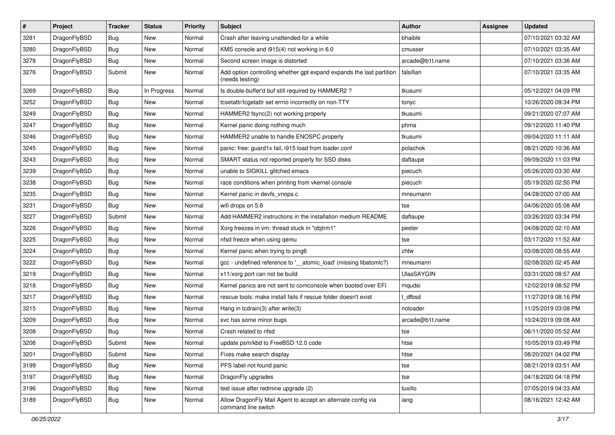| $\vert$ # | Project      | <b>Tracker</b> | <b>Status</b> | <b>Priority</b> | Subject                                                                                 | Author            | Assignee | <b>Updated</b>      |
|-----------|--------------|----------------|---------------|-----------------|-----------------------------------------------------------------------------------------|-------------------|----------|---------------------|
| 3281      | DragonFlyBSD | <b>Bug</b>     | New           | Normal          | Crash after leaving unattended for a while                                              | bhaible           |          | 07/10/2021 03:32 AM |
| 3280      | DragonFlyBSD | <b>Bug</b>     | <b>New</b>    | Normal          | KMS console and i915(4) not working in 6.0                                              | cmusser           |          | 07/10/2021 03:35 AM |
| 3278      | DragonFlyBSD | <b>Bug</b>     | New           | Normal          | Second screen image is distorted                                                        | arcade@b1t.name   |          | 07/10/2021 03:36 AM |
| 3276      | DragonFlyBSD | Submit         | New           | Normal          | Add option controlling whether gpt expand expands the last partition<br>(needs testing) | falsifian         |          | 07/10/2021 03:35 AM |
| 3269      | DragonFlyBSD | <b>Bug</b>     | In Progress   | Normal          | Is double-buffer'd buf still required by HAMMER2?                                       | tkusumi           |          | 05/12/2021 04:09 PM |
| 3252      | DragonFlyBSD | Bug            | <b>New</b>    | Normal          | tcsetattr/tcgetattr set errno incorrectly on non-TTY                                    | tonyc             |          | 10/26/2020 09:34 PM |
| 3249      | DragonFlyBSD | <b>Bug</b>     | New           | Normal          | HAMMER2 fsync(2) not working properly                                                   | tkusumi           |          | 09/21/2020 07:07 AM |
| 3247      | DragonFlyBSD | Bug            | <b>New</b>    | Normal          | Kernel panic doing nothing much                                                         | phma              |          | 09/12/2020 11:40 PM |
| 3246      | DragonFlyBSD | Bug            | <b>New</b>    | Normal          | HAMMER2 unable to handle ENOSPC properly                                                | tkusumi           |          | 09/04/2020 11:11 AM |
| 3245      | DragonFlyBSD | <b>Bug</b>     | <b>New</b>    | Normal          | panic: free: guard1x fail, i915 load from loader.conf                                   | polachok          |          | 08/21/2020 10:36 AM |
| 3243      | DragonFlyBSD | Bug            | <b>New</b>    | Normal          | SMART status not reported properly for SSD disks                                        | daftaupe          |          | 09/09/2020 11:03 PM |
| 3239      | DragonFlyBSD | <b>Bug</b>     | New           | Normal          | unable to SIGKILL glitched emacs                                                        | piecuch           |          | 05/26/2020 03:30 AM |
| 3238      | DragonFlyBSD | Bug            | New           | Normal          | race conditions when printing from vkernel console                                      | piecuch           |          | 05/19/2020 02:50 PM |
| 3235      | DragonFlyBSD | <b>Bug</b>     | <b>New</b>    | Normal          | Kernel panic in devfs vnops.c                                                           | mneumann          |          | 04/28/2020 07:00 AM |
| 3231      | DragonFlyBSD | <b>Bug</b>     | New           | Normal          | wifi drops on 5.8                                                                       | tse               |          | 04/06/2020 05:08 AM |
| 3227      | DragonFlyBSD | Submit         | New           | Normal          | Add HAMMER2 instructions in the installation medium README                              | daftaupe          |          | 03/26/2020 03:34 PM |
| 3226      | DragonFlyBSD | <b>Bug</b>     | <b>New</b>    | Normal          | Xorg freezes in vm: thread stuck in "objtrm1"                                           | peeter            |          | 04/08/2020 02:10 AM |
| 3225      | DragonFlyBSD | <b>Bug</b>     | New           | Normal          | nfsd freeze when using gemu                                                             | tse               |          | 03/17/2020 11:52 AM |
| 3224      | DragonFlyBSD | Bug            | <b>New</b>    | Normal          | Kernel panic when trying to ping6                                                       | zhtw              |          | 03/08/2020 08:55 AM |
| 3222      | DragonFlyBSD | <b>Bug</b>     | New           | Normal          | gcc - undefined reference to '__atomic_load' (missing libatomic?)                       | mneumann          |          | 02/08/2020 02:45 AM |
| 3219      | DragonFlyBSD | <b>Bug</b>     | <b>New</b>    | Normal          | x11/xorg port can not be build                                                          | <b>UlasSAYGIN</b> |          | 03/31/2020 08:57 AM |
| 3218      | DragonFlyBSD | Bug            | <b>New</b>    | Normal          | Kernel panics are not sent to comconsole when booted over EFI                           | mqudsi            |          | 12/02/2019 08:52 PM |
| 3217      | DragonFlyBSD | <b>Bug</b>     | New           | Normal          | rescue tools: make install fails if rescue folder doesn't exist                         | t dfbsd           |          | 11/27/2019 08:16 PM |
| 3215      | DragonFlyBSD | Bug            | <b>New</b>    | Normal          | Hang in tcdrain(3) after write(3)                                                       | noloader          |          | 11/25/2019 03:08 PM |
| 3209      | DragonFlyBSD | Bug            | New           | Normal          | svc has some minor bugs                                                                 | arcade@b1t.name   |          | 10/24/2019 09:08 AM |
| 3208      | DragonFlyBSD | <b>Bug</b>     | New           | Normal          | Crash related to nfsd                                                                   | tse               |          | 06/11/2020 05:52 AM |
| 3206      | DragonFlyBSD | Submit         | New           | Normal          | update psm/kbd to FreeBSD 12.0 code                                                     | htse              |          | 10/05/2019 03:49 PM |
| 3201      | DragonFlyBSD | Submit         | New           | Normal          | Fixes make search display                                                               | htse              |          | 08/20/2021 04:02 PM |
| 3199      | DragonFlyBSD | Bug            | New           | Normal          | PFS label not found panic                                                               | tse               |          | 08/21/2019 03:51 AM |
| 3197      | DragonFlyBSD | <b>Bug</b>     | New           | Normal          | DragonFly upgrades                                                                      | tse               |          | 04/18/2020 04:18 PM |
| 3196      | DragonFlyBSD | <b>Bug</b>     | New           | Normal          | test issue after redmine upgrade (2)                                                    | tuxillo           |          | 07/05/2019 04:33 AM |
| 3189      | DragonFlyBSD | <b>Bug</b>     | New           | Normal          | Allow DragonFly Mail Agent to accept an alternate config via<br>command line switch     | iang              |          | 08/16/2021 12:42 AM |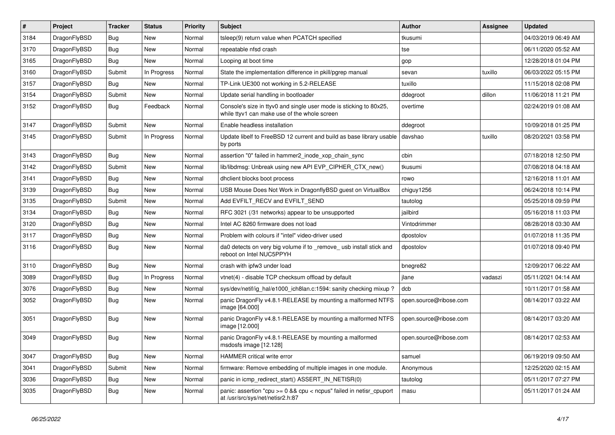| #    | Project      | <b>Tracker</b> | <b>Status</b> | <b>Priority</b> | Subject                                                                                                            | <b>Author</b>          | Assignee | <b>Updated</b>      |
|------|--------------|----------------|---------------|-----------------|--------------------------------------------------------------------------------------------------------------------|------------------------|----------|---------------------|
| 3184 | DragonFlyBSD | Bug            | New           | Normal          | tsleep(9) return value when PCATCH specified                                                                       | tkusumi                |          | 04/03/2019 06:49 AM |
| 3170 | DragonFlyBSD | Bug            | <b>New</b>    | Normal          | repeatable nfsd crash                                                                                              | tse                    |          | 06/11/2020 05:52 AM |
| 3165 | DragonFlyBSD | Bug            | New           | Normal          | Looping at boot time                                                                                               | gop                    |          | 12/28/2018 01:04 PM |
| 3160 | DragonFlyBSD | Submit         | In Progress   | Normal          | State the implementation difference in pkill/pgrep manual                                                          | sevan                  | tuxillo  | 06/03/2022 05:15 PM |
| 3157 | DragonFlyBSD | Bug            | <b>New</b>    | Normal          | TP-Link UE300 not working in 5.2-RELEASE                                                                           | tuxillo                |          | 11/15/2018 02:08 PM |
| 3154 | DragonFlyBSD | Submit         | New           | Normal          | Update serial handling in bootloader                                                                               | ddegroot               | dillon   | 11/06/2018 11:21 PM |
| 3152 | DragonFlyBSD | Bug            | Feedback      | Normal          | Console's size in ttyv0 and single user mode is sticking to 80x25,<br>while ttyv1 can make use of the whole screen | overtime               |          | 02/24/2019 01:08 AM |
| 3147 | DragonFlyBSD | Submit         | <b>New</b>    | Normal          | Enable headless installation                                                                                       | ddegroot               |          | 10/09/2018 01:25 PM |
| 3145 | DragonFlyBSD | Submit         | In Progress   | Normal          | Update libelf to FreeBSD 12 current and build as base library usable<br>by ports                                   | davshao                | tuxillo  | 08/20/2021 03:58 PM |
| 3143 | DragonFlyBSD | Bug            | <b>New</b>    | Normal          | assertion "0" failed in hammer2 inode xop chain sync                                                               | cbin                   |          | 07/18/2018 12:50 PM |
| 3142 | DragonFlyBSD | Submit         | New           | Normal          | lib/libdmsg: Unbreak using new API EVP_CIPHER_CTX_new()                                                            | tkusumi                |          | 07/08/2018 04:18 AM |
| 3141 | DragonFlyBSD | Bug            | New           | Normal          | dhclient blocks boot process                                                                                       | rowo                   |          | 12/16/2018 11:01 AM |
| 3139 | DragonFlyBSD | Bug            | <b>New</b>    | Normal          | USB Mouse Does Not Work in DragonflyBSD guest on VirtualBox                                                        | chiguy1256             |          | 06/24/2018 10:14 PM |
| 3135 | DragonFlyBSD | Submit         | New           | Normal          | Add EVFILT_RECV and EVFILT_SEND                                                                                    | tautolog               |          | 05/25/2018 09:59 PM |
| 3134 | DragonFlyBSD | Bug            | New           | Normal          | RFC 3021 (/31 networks) appear to be unsupported                                                                   | jailbird               |          | 05/16/2018 11:03 PM |
| 3120 | DragonFlyBSD | Bug            | <b>New</b>    | Normal          | Intel AC 8260 firmware does not load                                                                               | Vintodrimmer           |          | 08/28/2018 03:30 AM |
| 3117 | DragonFlyBSD | Bug            | New           | Normal          | Problem with colours if "intel" video-driver used                                                                  | dpostolov              |          | 01/07/2018 11:35 PM |
| 3116 | DragonFlyBSD | Bug            | New           | Normal          | da0 detects on very big volume if to _remove_ usb install stick and<br>reboot on Intel NUC5PPYH                    | dpostolov              |          | 01/07/2018 09:40 PM |
| 3110 | DragonFlyBSD | Bug            | <b>New</b>    | Normal          | crash with ipfw3 under load                                                                                        | bnegre82               |          | 12/09/2017 06:22 AM |
| 3089 | DragonFlyBSD | Bug            | In Progress   | Normal          | vtnet(4) - disable TCP checksum offload by default                                                                 | jlane                  | vadaszi  | 05/11/2021 04:14 AM |
| 3076 | DragonFlyBSD | Bug            | New           | Normal          | sys/dev/netif/ig_hal/e1000_ich8lan.c:1594: sanity checking mixup?                                                  | dcb                    |          | 10/11/2017 01:58 AM |
| 3052 | DragonFlyBSD | <b>Bug</b>     | New           | Normal          | panic DragonFly v4.8.1-RELEASE by mounting a malformed NTFS<br>image [64.000]                                      | open.source@ribose.com |          | 08/14/2017 03:22 AM |
| 3051 | DragonFlyBSD | Bug            | New           | Normal          | panic DragonFly v4.8.1-RELEASE by mounting a malformed NTFS<br>image [12.000]                                      | open.source@ribose.com |          | 08/14/2017 03:20 AM |
| 3049 | DragonFlyBSD | <b>Bug</b>     | New           | Normal          | panic DragonFly v4.8.1-RELEASE by mounting a malformed<br>msdosfs image [12.128]                                   | open.source@ribose.com |          | 08/14/2017 02:53 AM |
| 3047 | DragonFlyBSD | Bug            | <b>New</b>    | Normal          | HAMMER critical write error                                                                                        | samuel                 |          | 06/19/2019 09:50 AM |
| 3041 | DragonFlyBSD | Submit         | New           | Normal          | firmware: Remove embedding of multiple images in one module.                                                       | Anonymous              |          | 12/25/2020 02:15 AM |
| 3036 | DragonFlyBSD | <b>Bug</b>     | New           | Normal          | panic in icmp_redirect_start() ASSERT_IN_NETISR(0)                                                                 | tautolog               |          | 05/11/2017 07:27 PM |
| 3035 | DragonFlyBSD | <b>Bug</b>     | New           | Normal          | panic: assertion "cpu >= 0 && cpu < ncpus" failed in netisr_cpuport<br>at /usr/src/sys/net/netisr2.h:87            | masu                   |          | 05/11/2017 01:24 AM |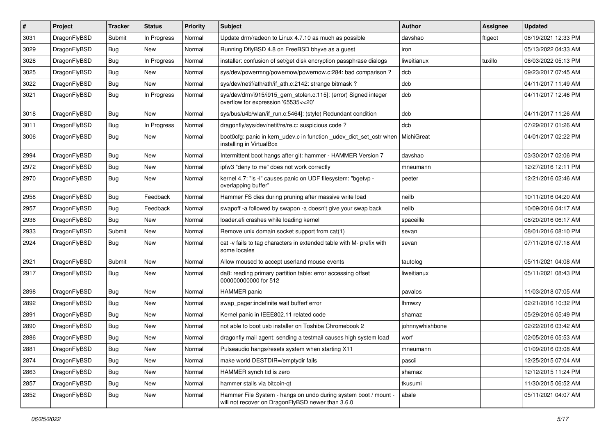| #    | Project      | <b>Tracker</b> | <b>Status</b> | <b>Priority</b> | Subject                                                                                                              | Author          | Assignee | <b>Updated</b>      |
|------|--------------|----------------|---------------|-----------------|----------------------------------------------------------------------------------------------------------------------|-----------------|----------|---------------------|
| 3031 | DragonFlyBSD | Submit         | In Progress   | Normal          | Update drm/radeon to Linux 4.7.10 as much as possible                                                                | davshao         | ftigeot  | 08/19/2021 12:33 PM |
| 3029 | DragonFlyBSD | Bug            | New           | Normal          | Running DflyBSD 4.8 on FreeBSD bhyve as a guest                                                                      | iron            |          | 05/13/2022 04:33 AM |
| 3028 | DragonFlyBSD | <b>Bug</b>     | In Progress   | Normal          | installer: confusion of set/get disk encryption passphrase dialogs                                                   | liweitianux     | tuxillo  | 06/03/2022 05:13 PM |
| 3025 | DragonFlyBSD | <b>Bug</b>     | New           | Normal          | sys/dev/powermng/powernow/powernow.c:284: bad comparison ?                                                           | dcb             |          | 09/23/2017 07:45 AM |
| 3022 | DragonFlyBSD | <b>Bug</b>     | <b>New</b>    | Normal          | sys/dev/netif/ath/ath/if_ath.c:2142: strange bitmask?                                                                | dcb             |          | 04/11/2017 11:49 AM |
| 3021 | DragonFlyBSD | Bug            | In Progress   | Normal          | sys/dev/drm/i915/i915_gem_stolen.c:115]: (error) Signed integer<br>overflow for expression '65535<<20'               | dcb             |          | 04/11/2017 12:46 PM |
| 3018 | DragonFlyBSD | Bug            | <b>New</b>    | Normal          | sys/bus/u4b/wlan/if run.c:5464]: (style) Redundant condition                                                         | dcb             |          | 04/11/2017 11:26 AM |
| 3011 | DragonFlyBSD | <b>Bug</b>     | In Progress   | Normal          | dragonfly/sys/dev/netif/re/re.c: suspicious code ?                                                                   | dcb             |          | 07/29/2017 01:26 AM |
| 3006 | DragonFlyBSD | Bug            | <b>New</b>    | Normal          | boot0cfg: panic in kern_udev.c in function _udev_dict_set_cstr when<br>installing in VirtualBox                      | MichiGreat      |          | 04/01/2017 02:22 PM |
| 2994 | DragonFlyBSD | Bug            | New           | Normal          | Intermittent boot hangs after git: hammer - HAMMER Version 7                                                         | davshao         |          | 03/30/2017 02:06 PM |
| 2972 | DragonFlyBSD | <b>Bug</b>     | New           | Normal          | ipfw3 "deny to me" does not work correctly                                                                           | mneumann        |          | 12/27/2016 12:11 PM |
| 2970 | DragonFlyBSD | <b>Bug</b>     | New           | Normal          | kernel 4.7: "Is -I" causes panic on UDF filesystem: "bgetvp -<br>overlapping buffer"                                 | peeter          |          | 12/21/2016 02:46 AM |
| 2958 | DragonFlyBSD | Bug            | Feedback      | Normal          | Hammer FS dies during pruning after massive write load                                                               | neilb           |          | 10/11/2016 04:20 AM |
| 2957 | DragonFlyBSD | <b>Bug</b>     | Feedback      | Normal          | swapoff -a followed by swapon -a doesn't give your swap back                                                         | neilb           |          | 10/09/2016 04:17 AM |
| 2936 | DragonFlyBSD | Bug            | <b>New</b>    | Normal          | loader.efi crashes while loading kernel                                                                              | spaceille       |          | 08/20/2016 06:17 AM |
| 2933 | DragonFlyBSD | Submit         | New           | Normal          | Remove unix domain socket support from cat(1)                                                                        | sevan           |          | 08/01/2016 08:10 PM |
| 2924 | DragonFlyBSD | Bug            | New           | Normal          | cat -v fails to tag characters in extended table with M- prefix with<br>some locales                                 | sevan           |          | 07/11/2016 07:18 AM |
| 2921 | DragonFlyBSD | Submit         | <b>New</b>    | Normal          | Allow moused to accept userland mouse events                                                                         | tautolog        |          | 05/11/2021 04:08 AM |
| 2917 | DragonFlyBSD | Bug            | New           | Normal          | da8: reading primary partition table: error accessing offset<br>000000000000 for 512                                 | liweitianux     |          | 05/11/2021 08:43 PM |
| 2898 | DragonFlyBSD | Bug            | <b>New</b>    | Normal          | HAMMER panic                                                                                                         | pavalos         |          | 11/03/2018 07:05 AM |
| 2892 | DragonFlyBSD | Bug            | <b>New</b>    | Normal          | swap_pager:indefinite wait bufferf error                                                                             | lhmwzy          |          | 02/21/2016 10:32 PM |
| 2891 | DragonFlyBSD | Bug            | New           | Normal          | Kernel panic in IEEE802.11 related code                                                                              | shamaz          |          | 05/29/2016 05:49 PM |
| 2890 | DragonFlyBSD | <b>Bug</b>     | New           | Normal          | not able to boot usb installer on Toshiba Chromebook 2                                                               | johnnywhishbone |          | 02/22/2016 03:42 AM |
| 2886 | DragonFlyBSD | <b>Bug</b>     | New           | Normal          | dragonfly mail agent: sending a testmail causes high system load                                                     | worf            |          | 02/05/2016 05:53 AM |
| 2881 | DragonFlyBSD | <b>Bug</b>     | New           | Normal          | Pulseaudio hangs/resets system when starting X11                                                                     | mneumann        |          | 01/09/2016 03:08 AM |
| 2874 | DragonFlyBSD | <b>Bug</b>     | New           | Normal          | make world DESTDIR=/emptydir fails                                                                                   | pascii          |          | 12/25/2015 07:04 AM |
| 2863 | DragonFlyBSD | <b>Bug</b>     | New           | Normal          | HAMMER synch tid is zero                                                                                             | shamaz          |          | 12/12/2015 11:24 PM |
| 2857 | DragonFlyBSD | <b>Bug</b>     | <b>New</b>    | Normal          | hammer stalls via bitcoin-qt                                                                                         | tkusumi         |          | 11/30/2015 06:52 AM |
| 2852 | DragonFlyBSD | <b>Bug</b>     | New           | Normal          | Hammer File System - hangs on undo during system boot / mount -<br>will not recover on DragonFlyBSD newer than 3.6.0 | abale           |          | 05/11/2021 04:07 AM |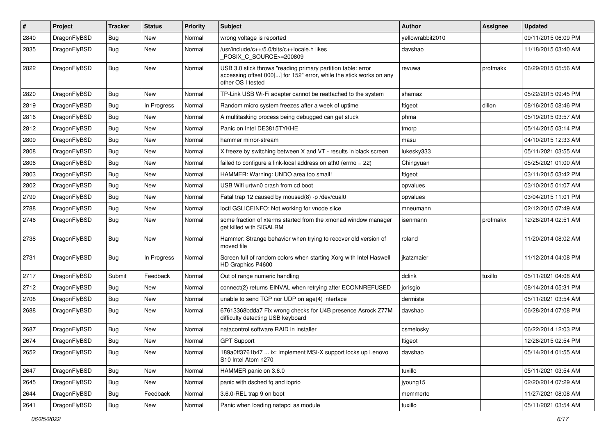| #    | Project      | <b>Tracker</b> | <b>Status</b> | <b>Priority</b> | Subject                                                                                                                                                  | <b>Author</b>    | Assignee | <b>Updated</b>      |
|------|--------------|----------------|---------------|-----------------|----------------------------------------------------------------------------------------------------------------------------------------------------------|------------------|----------|---------------------|
| 2840 | DragonFlyBSD | <b>Bug</b>     | <b>New</b>    | Normal          | wrong voltage is reported                                                                                                                                | yellowrabbit2010 |          | 09/11/2015 06:09 PM |
| 2835 | DragonFlyBSD | <b>Bug</b>     | <b>New</b>    | Normal          | /usr/include/c++/5.0/bits/c++locale.h likes<br>POSIX_C_SOURCE>=200809                                                                                    | davshao          |          | 11/18/2015 03:40 AM |
| 2822 | DragonFlyBSD | Bug            | <b>New</b>    | Normal          | USB 3.0 stick throws "reading primary partition table: error<br>accessing offset 000[] for 152" error, while the stick works on any<br>other OS I tested | revuwa           | profmakx | 06/29/2015 05:56 AM |
| 2820 | DragonFlyBSD | Bug            | <b>New</b>    | Normal          | TP-Link USB Wi-Fi adapter cannot be reattached to the system                                                                                             | shamaz           |          | 05/22/2015 09:45 PM |
| 2819 | DragonFlyBSD | <b>Bug</b>     | In Progress   | Normal          | Random micro system freezes after a week of uptime                                                                                                       | ftigeot          | dillon   | 08/16/2015 08:46 PM |
| 2816 | DragonFlyBSD | Bug            | <b>New</b>    | Normal          | A multitasking process being debugged can get stuck                                                                                                      | phma             |          | 05/19/2015 03:57 AM |
| 2812 | DragonFlyBSD | <b>Bug</b>     | New           | Normal          | Panic on Intel DE3815TYKHE                                                                                                                               | tmorp            |          | 05/14/2015 03:14 PM |
| 2809 | DragonFlyBSD | <b>Bug</b>     | New           | Normal          | hammer mirror-stream                                                                                                                                     | masu             |          | 04/10/2015 12:33 AM |
| 2808 | DragonFlyBSD | <b>Bug</b>     | <b>New</b>    | Normal          | X freeze by switching between X and VT - results in black screen                                                                                         | lukesky333       |          | 05/11/2021 03:55 AM |
| 2806 | DragonFlyBSD | Bug            | <b>New</b>    | Normal          | failed to configure a link-local address on ath0 (errno = 22)                                                                                            | Chingyuan        |          | 05/25/2021 01:00 AM |
| 2803 | DragonFlyBSD | Bug            | <b>New</b>    | Normal          | HAMMER: Warning: UNDO area too small!                                                                                                                    | ftigeot          |          | 03/11/2015 03:42 PM |
| 2802 | DragonFlyBSD | Bug            | New           | Normal          | USB Wifi urtwn0 crash from cd boot                                                                                                                       | opvalues         |          | 03/10/2015 01:07 AM |
| 2799 | DragonFlyBSD | <b>Bug</b>     | <b>New</b>    | Normal          | Fatal trap 12 caused by moused(8) -p/dev/cual0                                                                                                           | opvalues         |          | 03/04/2015 11:01 PM |
| 2788 | DragonFlyBSD | Bug            | New           | Normal          | ioctl GSLICEINFO: Not working for vnode slice                                                                                                            | mneumann         |          | 02/12/2015 07:49 AM |
| 2746 | DragonFlyBSD | Bug            | New           | Normal          | some fraction of xterms started from the xmonad window manager<br>get killed with SIGALRM                                                                | isenmann         | profmakx | 12/28/2014 02:51 AM |
| 2738 | DragonFlyBSD | Bug            | New           | Normal          | Hammer: Strange behavior when trying to recover old version of<br>moved file                                                                             | roland           |          | 11/20/2014 08:02 AM |
| 2731 | DragonFlyBSD | <b>Bug</b>     | In Progress   | Normal          | Screen full of random colors when starting Xorg with Intel Haswell<br>HD Graphics P4600                                                                  | jkatzmaier       |          | 11/12/2014 04:08 PM |
| 2717 | DragonFlyBSD | Submit         | Feedback      | Normal          | Out of range numeric handling                                                                                                                            | dclink           | tuxillo  | 05/11/2021 04:08 AM |
| 2712 | DragonFlyBSD | Bug            | <b>New</b>    | Normal          | connect(2) returns EINVAL when retrying after ECONNREFUSED                                                                                               | jorisgio         |          | 08/14/2014 05:31 PM |
| 2708 | DragonFlyBSD | Bug            | New           | Normal          | unable to send TCP nor UDP on age(4) interface                                                                                                           | dermiste         |          | 05/11/2021 03:54 AM |
| 2688 | DragonFlyBSD | Bug            | New           | Normal          | 67613368bdda7 Fix wrong checks for U4B presence Asrock Z77M<br>difficulty detecting USB keyboard                                                         | davshao          |          | 06/28/2014 07:08 PM |
| 2687 | DragonFlyBSD | Bug            | New           | Normal          | natacontrol software RAID in installer                                                                                                                   | csmelosky        |          | 06/22/2014 12:03 PM |
| 2674 | DragonFlyBSD | Bug            | <b>New</b>    | Normal          | <b>GPT Support</b>                                                                                                                                       | ftigeot          |          | 12/28/2015 02:54 PM |
| 2652 | DragonFlyBSD | Bug            | New           | Normal          | 189a0ff3761b47  ix: Implement MSI-X support locks up Lenovo<br>S <sub>10</sub> Intel Atom n <sub>270</sub>                                               | davshao          |          | 05/14/2014 01:55 AM |
| 2647 | DragonFlyBSD | <b>Bug</b>     | New           | Normal          | HAMMER panic on 3.6.0                                                                                                                                    | tuxillo          |          | 05/11/2021 03:54 AM |
| 2645 | DragonFlyBSD | Bug            | New           | Normal          | panic with dsched fq and ioprio                                                                                                                          | jyoung15         |          | 02/20/2014 07:29 AM |
| 2644 | DragonFlyBSD | <b>Bug</b>     | Feedback      | Normal          | 3.6.0-REL trap 9 on boot                                                                                                                                 | memmerto         |          | 11/27/2021 08:08 AM |
| 2641 | DragonFlyBSD | <b>Bug</b>     | New           | Normal          | Panic when loading natapci as module                                                                                                                     | tuxillo          |          | 05/11/2021 03:54 AM |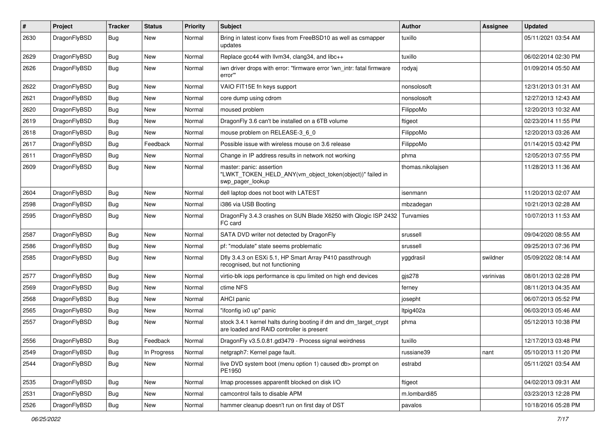| $\pmb{\#}$ | Project      | <b>Tracker</b> | <b>Status</b> | <b>Priority</b> | Subject                                                                                                        | <b>Author</b>     | Assignee  | <b>Updated</b>      |
|------------|--------------|----------------|---------------|-----------------|----------------------------------------------------------------------------------------------------------------|-------------------|-----------|---------------------|
| 2630       | DragonFlyBSD | Bug            | New           | Normal          | Bring in latest iconv fixes from FreeBSD10 as well as csmapper<br>updates                                      | tuxillo           |           | 05/11/2021 03:54 AM |
| 2629       | DragonFlyBSD | <b>Bug</b>     | <b>New</b>    | Normal          | Replace gcc44 with llvm34, clang34, and libc++                                                                 | tuxillo           |           | 06/02/2014 02:30 PM |
| 2626       | DragonFlyBSD | Bug            | New           | Normal          | iwn driver drops with error: "firmware error 'iwn_intr: fatal firmware<br>error"                               | rodyaj            |           | 01/09/2014 05:50 AM |
| 2622       | DragonFlyBSD | <b>Bug</b>     | <b>New</b>    | Normal          | VAIO FIT15E fn keys support                                                                                    | nonsolosoft       |           | 12/31/2013 01:31 AM |
| 2621       | DragonFlyBSD | Bug            | New           | Normal          | core dump using cdrom                                                                                          | nonsolosoft       |           | 12/27/2013 12:43 AM |
| 2620       | DragonFlyBSD | <b>Bug</b>     | New           | Normal          | moused problem                                                                                                 | FilippoMo         |           | 12/20/2013 10:32 AM |
| 2619       | DragonFlyBSD | <b>Bug</b>     | New           | Normal          | DragonFly 3.6 can't be installed on a 6TB volume                                                               | ftigeot           |           | 02/23/2014 11:55 PM |
| 2618       | DragonFlyBSD | Bug            | New           | Normal          | mouse problem on RELEASE-3_6_0                                                                                 | FilippoMo         |           | 12/20/2013 03:26 AM |
| 2617       | DragonFlyBSD | <b>Bug</b>     | Feedback      | Normal          | Possible issue with wireless mouse on 3.6 release                                                              | FilippoMo         |           | 01/14/2015 03:42 PM |
| 2611       | DragonFlyBSD | Bug            | New           | Normal          | Change in IP address results in network not working                                                            | phma              |           | 12/05/2013 07:55 PM |
| 2609       | DragonFlyBSD | Bug            | New           | Normal          | master: panic: assertion<br>"LWKT_TOKEN_HELD_ANY(vm_object_token(object))" failed in<br>swp pager lookup       | thomas.nikolajsen |           | 11/28/2013 11:36 AM |
| 2604       | DragonFlyBSD | <b>Bug</b>     | New           | Normal          | dell laptop does not boot with LATEST                                                                          | isenmann          |           | 11/20/2013 02:07 AM |
| 2598       | DragonFlyBSD | <b>Bug</b>     | New           | Normal          | i386 via USB Booting                                                                                           | mbzadegan         |           | 10/21/2013 02:28 AM |
| 2595       | DragonFlyBSD | Bug            | <b>New</b>    | Normal          | DragonFly 3.4.3 crashes on SUN Blade X6250 with Qlogic ISP 2432<br>FC card                                     | Turvamies         |           | 10/07/2013 11:53 AM |
| 2587       | DragonFlyBSD | Bug            | <b>New</b>    | Normal          | SATA DVD writer not detected by DragonFly                                                                      | srussell          |           | 09/04/2020 08:55 AM |
| 2586       | DragonFlyBSD | Bug            | New           | Normal          | pf: "modulate" state seems problematic                                                                         | srussell          |           | 09/25/2013 07:36 PM |
| 2585       | DragonFlyBSD | Bug            | New           | Normal          | Dfly 3.4.3 on ESXi 5.1, HP Smart Array P410 passthrough<br>recognised, but not functioning                     | yggdrasil         | swildner  | 05/09/2022 08:14 AM |
| 2577       | DragonFlyBSD | Bug            | New           | Normal          | virtio-blk iops performance is cpu limited on high end devices                                                 | gis278            | vsrinivas | 08/01/2013 02:28 PM |
| 2569       | DragonFlyBSD | <b>Bug</b>     | New           | Normal          | ctime NFS                                                                                                      | ferney            |           | 08/11/2013 04:35 AM |
| 2568       | DragonFlyBSD | Bug            | <b>New</b>    | Normal          | AHCI panic                                                                                                     | josepht           |           | 06/07/2013 05:52 PM |
| 2565       | DragonFlyBSD | <b>Bug</b>     | New           | Normal          | "ifconfig ix0 up" panic                                                                                        | ltpig402a         |           | 06/03/2013 05:46 AM |
| 2557       | DragonFlyBSD | Bug            | New           | Normal          | stock 3.4.1 kernel halts during booting if dm and dm_target_crypt<br>are loaded and RAID controller is present | phma              |           | 05/12/2013 10:38 PM |
| 2556       | DragonFlyBSD | Bug            | Feedback      | Normal          | DragonFly v3.5.0.81.gd3479 - Process signal weirdness                                                          | tuxillo           |           | 12/17/2013 03:48 PM |
| 2549       | DragonFlyBSD | <b>Bug</b>     | In Progress   | Normal          | netgraph7: Kernel page fault.                                                                                  | russiane39        | nant      | 05/10/2013 11:20 PM |
| 2544       | DragonFlyBSD | Bug            | New           | Normal          | live DVD system boot (menu option 1) caused db> prompt on<br>PE1950                                            | estrabd           |           | 05/11/2021 03:54 AM |
| 2535       | DragonFlyBSD | Bug            | New           | Normal          | Imap processes apparentlt blocked on disk I/O                                                                  | ftigeot           |           | 04/02/2013 09:31 AM |
| 2531       | DragonFlyBSD | <b>Bug</b>     | New           | Normal          | camcontrol fails to disable APM                                                                                | m.lombardi85      |           | 03/23/2013 12:28 PM |
| 2526       | DragonFlyBSD | <b>Bug</b>     | New           | Normal          | hammer cleanup doesn't run on first day of DST                                                                 | pavalos           |           | 10/18/2016 05:28 PM |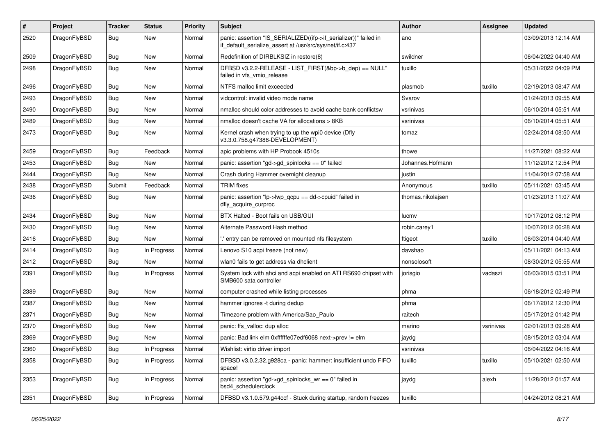| #    | Project      | <b>Tracker</b> | <b>Status</b> | <b>Priority</b> | Subject                                                                                                                      | Author            | Assignee  | <b>Updated</b>      |
|------|--------------|----------------|---------------|-----------------|------------------------------------------------------------------------------------------------------------------------------|-------------------|-----------|---------------------|
| 2520 | DragonFlyBSD | Bug            | <b>New</b>    | Normal          | panic: assertion "IS_SERIALIZED((ifp->if_serializer))" failed in<br>if_default_serialize_assert at /usr/src/sys/net/if.c:437 | ano               |           | 03/09/2013 12:14 AM |
| 2509 | DragonFlyBSD | Bug            | <b>New</b>    | Normal          | Redefinition of DIRBLKSIZ in restore(8)                                                                                      | swildner          |           | 06/04/2022 04:40 AM |
| 2498 | DragonFlyBSD | Bug            | New           | Normal          | DFBSD v3.2.2-RELEASE - LIST FIRST(&bp->b dep) == NULL"<br>failed in vfs vmio release                                         | tuxillo           |           | 05/31/2022 04:09 PM |
| 2496 | DragonFlyBSD | Bug            | New           | Normal          | NTFS malloc limit exceeded                                                                                                   | plasmob           | tuxillo   | 02/19/2013 08:47 AM |
| 2493 | DragonFlyBSD | Bug            | <b>New</b>    | Normal          | vidcontrol: invalid video mode name                                                                                          | Svarov            |           | 01/24/2013 09:55 AM |
| 2490 | DragonFlyBSD | Bug            | New           | Normal          | nmalloc should color addresses to avoid cache bank conflictsw                                                                | vsrinivas         |           | 06/10/2014 05:51 AM |
| 2489 | DragonFlyBSD | Bug            | New           | Normal          | nmalloc doesn't cache VA for allocations > 8KB                                                                               | vsrinivas         |           | 06/10/2014 05:51 AM |
| 2473 | DragonFlyBSD | Bug            | New           | Normal          | Kernel crash when trying to up the wpi0 device (Dfly<br>v3.3.0.758.g47388-DEVELOPMENT)                                       | tomaz             |           | 02/24/2014 08:50 AM |
| 2459 | DragonFlyBSD | Bug            | Feedback      | Normal          | apic problems with HP Probook 4510s                                                                                          | thowe             |           | 11/27/2021 08:22 AM |
| 2453 | DragonFlyBSD | Bug            | <b>New</b>    | Normal          | panic: assertion "gd->gd_spinlocks == 0" failed                                                                              | Johannes.Hofmann  |           | 11/12/2012 12:54 PM |
| 2444 | DragonFlyBSD | Bug            | New           | Normal          | Crash during Hammer overnight cleanup                                                                                        | justin            |           | 11/04/2012 07:58 AM |
| 2438 | DragonFlyBSD | Submit         | Feedback      | Normal          | <b>TRIM</b> fixes                                                                                                            | Anonymous         | tuxillo   | 05/11/2021 03:45 AM |
| 2436 | DragonFlyBSD | <b>Bug</b>     | New           | Normal          | panic: assertion "lp->lwp_qcpu == dd->cpuid" failed in<br>dfly_acquire_curproc                                               | thomas.nikolajsen |           | 01/23/2013 11:07 AM |
| 2434 | DragonFlyBSD | Bug            | <b>New</b>    | Normal          | BTX Halted - Boot fails on USB/GUI                                                                                           | lucmv             |           | 10/17/2012 08:12 PM |
| 2430 | DragonFlyBSD | Bug            | New           | Normal          | Alternate Password Hash method                                                                                               | robin.carey1      |           | 10/07/2012 06:28 AM |
| 2416 | DragonFlyBSD | Bug            | New           | Normal          | ' entry can be removed on mounted nfs filesystem                                                                             | ftigeot           | tuxillo   | 06/03/2014 04:40 AM |
| 2414 | DragonFlyBSD | Bug            | In Progress   | Normal          | Lenovo S10 acpi freeze (not new)                                                                                             | davshao           |           | 05/11/2021 04:13 AM |
| 2412 | DragonFlyBSD | Bug            | New           | Normal          | wlan0 fails to get address via dhclient                                                                                      | nonsolosoft       |           | 08/30/2012 05:55 AM |
| 2391 | DragonFlyBSD | Bug            | In Progress   | Normal          | System lock with ahci and acpi enabled on ATI RS690 chipset with<br>SMB600 sata controller                                   | jorisgio          | vadaszi   | 06/03/2015 03:51 PM |
| 2389 | DragonFlyBSD | Bug            | New           | Normal          | computer crashed while listing processes                                                                                     | phma              |           | 06/18/2012 02:49 PM |
| 2387 | DragonFlyBSD | Bug            | <b>New</b>    | Normal          | hammer ignores -t during dedup                                                                                               | phma              |           | 06/17/2012 12:30 PM |
| 2371 | DragonFlyBSD | Bug            | New           | Normal          | Timezone problem with America/Sao_Paulo                                                                                      | raitech           |           | 05/17/2012 01:42 PM |
| 2370 | DragonFlyBSD | Bug            | New           | Normal          | panic: ffs_valloc: dup alloc                                                                                                 | marino            | vsrinivas | 02/01/2013 09:28 AM |
| 2369 | DragonFlyBSD | Bug            | <b>New</b>    | Normal          | panic: Bad link elm 0xffffffe07edf6068 next->prev != elm                                                                     | jaydg             |           | 08/15/2012 03:04 AM |
| 2360 | DragonFlyBSD | <b>Bug</b>     | In Progress   | Normal          | Wishlist: virtio driver import                                                                                               | vsrinivas         |           | 06/04/2022 04:16 AM |
| 2358 | DragonFlyBSD | <b>Bug</b>     | In Progress   | Normal          | DFBSD v3.0.2.32.g928ca - panic: hammer: insufficient undo FIFO<br>space!                                                     | tuxillo           | tuxillo   | 05/10/2021 02:50 AM |
| 2353 | DragonFlyBSD | <b>Bug</b>     | In Progress   | Normal          | panic: assertion "gd->gd_spinlocks_wr == 0" failed in<br>bsd4_schedulerclock                                                 | jaydg             | alexh     | 11/28/2012 01:57 AM |
| 2351 | DragonFlyBSD | <b>Bug</b>     | In Progress   | Normal          | DFBSD v3.1.0.579.g44ccf - Stuck during startup, random freezes                                                               | tuxillo           |           | 04/24/2012 08:21 AM |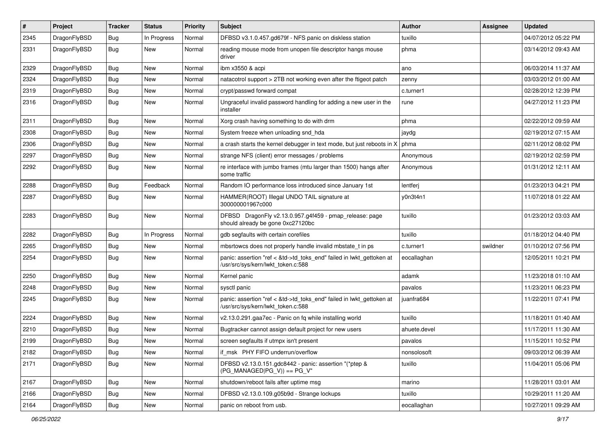| $\pmb{\#}$ | Project      | <b>Tracker</b> | <b>Status</b> | <b>Priority</b> | Subject                                                                                                    | <b>Author</b> | <b>Assignee</b> | <b>Updated</b>      |
|------------|--------------|----------------|---------------|-----------------|------------------------------------------------------------------------------------------------------------|---------------|-----------------|---------------------|
| 2345       | DragonFlyBSD | Bug            | In Progress   | Normal          | DFBSD v3.1.0.457.gd679f - NFS panic on diskless station                                                    | tuxillo       |                 | 04/07/2012 05:22 PM |
| 2331       | DragonFlyBSD | Bug            | New           | Normal          | reading mouse mode from unopen file descriptor hangs mouse<br>driver                                       | phma          |                 | 03/14/2012 09:43 AM |
| 2329       | DragonFlyBSD | Bug            | <b>New</b>    | Normal          | ibm x3550 & acpi                                                                                           | ano           |                 | 06/03/2014 11:37 AM |
| 2324       | DragonFlyBSD | Bug            | <b>New</b>    | Normal          | natacotrol support > 2TB not working even after the ftigeot patch                                          | zenny         |                 | 03/03/2012 01:00 AM |
| 2319       | DragonFlyBSD | Bug            | New           | Normal          | crypt/passwd forward compat                                                                                | c.turner1     |                 | 02/28/2012 12:39 PM |
| 2316       | DragonFlyBSD | Bug            | New           | Normal          | Ungraceful invalid password handling for adding a new user in the<br>installer                             | rune          |                 | 04/27/2012 11:23 PM |
| 2311       | DragonFlyBSD | Bug            | <b>New</b>    | Normal          | Xorg crash having something to do with drm                                                                 | phma          |                 | 02/22/2012 09:59 AM |
| 2308       | DragonFlyBSD | Bug            | New           | Normal          | System freeze when unloading snd_hda                                                                       | jaydg         |                 | 02/19/2012 07:15 AM |
| 2306       | DragonFlyBSD | Bug            | <b>New</b>    | Normal          | a crash starts the kernel debugger in text mode, but just reboots in $X \mid p$ hma                        |               |                 | 02/11/2012 08:02 PM |
| 2297       | DragonFlyBSD | Bug            | <b>New</b>    | Normal          | strange NFS (client) error messages / problems                                                             | Anonymous     |                 | 02/19/2012 02:59 PM |
| 2292       | DragonFlyBSD | Bug            | <b>New</b>    | Normal          | re interface with jumbo frames (mtu larger than 1500) hangs after<br>some traffic                          | Anonymous     |                 | 01/31/2012 12:11 AM |
| 2288       | DragonFlyBSD | Bug            | Feedback      | Normal          | Random IO performance loss introduced since January 1st                                                    | lentferj      |                 | 01/23/2013 04:21 PM |
| 2287       | DragonFlyBSD | Bug            | <b>New</b>    | Normal          | HAMMER(ROOT) Illegal UNDO TAIL signature at<br>300000001967c000                                            | y0n3t4n1      |                 | 11/07/2018 01:22 AM |
| 2283       | DragonFlyBSD | Bug            | <b>New</b>    | Normal          | DFBSD DragonFly v2.13.0.957.g4f459 - pmap_release: page<br>should already be gone 0xc27120bc               | tuxillo       |                 | 01/23/2012 03:03 AM |
| 2282       | DragonFlyBSD | Bug            | In Progress   | Normal          | gdb segfaults with certain corefiles                                                                       | tuxillo       |                 | 01/18/2012 04:40 PM |
| 2265       | DragonFlyBSD | Bug            | <b>New</b>    | Normal          | mbsrtowcs does not properly handle invalid mbstate_t in ps                                                 | c.turner1     | swildner        | 01/10/2012 07:56 PM |
| 2254       | DragonFlyBSD | Bug            | New           | Normal          | panic: assertion "ref < &td->td_toks_end" failed in lwkt_gettoken at<br>/usr/src/sys/kern/lwkt_token.c:588 | eocallaghan   |                 | 12/05/2011 10:21 PM |
| 2250       | DragonFlyBSD | <b>Bug</b>     | <b>New</b>    | Normal          | Kernel panic                                                                                               | adamk         |                 | 11/23/2018 01:10 AM |
| 2248       | DragonFlyBSD | Bug            | New           | Normal          | sysctl panic                                                                                               | pavalos       |                 | 11/23/2011 06:23 PM |
| 2245       | DragonFlyBSD | Bug            | New           | Normal          | panic: assertion "ref < &td->td_toks_end" failed in lwkt_gettoken at<br>/usr/src/sys/kern/lwkt_token.c:588 | juanfra684    |                 | 11/22/2011 07:41 PM |
| 2224       | DragonFlyBSD | Bug            | <b>New</b>    | Normal          | v2.13.0.291.gaa7ec - Panic on fq while installing world                                                    | tuxillo       |                 | 11/18/2011 01:40 AM |
| 2210       | DragonFlyBSD | Bug            | New           | Normal          | Bugtracker cannot assign default project for new users                                                     | ahuete.devel  |                 | 11/17/2011 11:30 AM |
| 2199       | DragonFlyBSD | <b>Bug</b>     | New           | Normal          | screen segfaults if utmpx isn't present                                                                    | pavalos       |                 | 11/15/2011 10:52 PM |
| 2182       | DragonFlyBSD | Bug            | New           | Normal          | if_msk PHY FIFO underrun/overflow                                                                          | nonsolosoft   |                 | 09/03/2012 06:39 AM |
| 2171       | DragonFlyBSD | Bug            | <b>New</b>    | Normal          | DFBSD v2.13.0.151.gdc8442 - panic: assertion "(*ptep &<br>$(PG_MANAGED PG_V)) == PG_V"$                    | tuxillo       |                 | 11/04/2011 05:06 PM |
| 2167       | DragonFlyBSD | Bug            | <b>New</b>    | Normal          | shutdown/reboot fails after uptime msg                                                                     | marino        |                 | 11/28/2011 03:01 AM |
| 2166       | DragonFlyBSD | Bug            | New           | Normal          | DFBSD v2.13.0.109.g05b9d - Strange lockups                                                                 | tuxillo       |                 | 10/29/2011 11:20 AM |
| 2164       | DragonFlyBSD | <b>Bug</b>     | New           | Normal          | panic on reboot from usb.                                                                                  | eocallaghan   |                 | 10/27/2011 09:29 AM |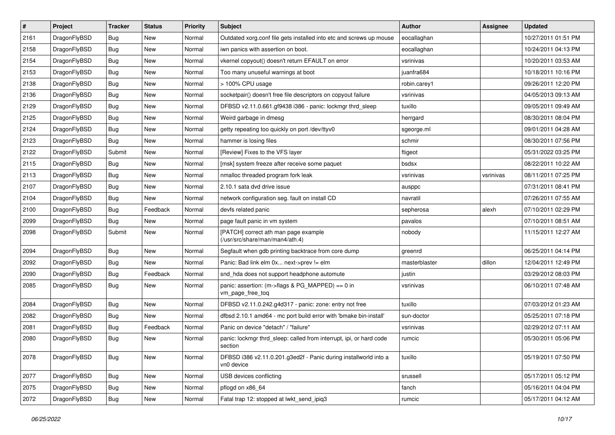| $\pmb{\#}$ | Project      | <b>Tracker</b> | <b>Status</b> | <b>Priority</b> | Subject                                                                        | <b>Author</b> | <b>Assignee</b> | <b>Updated</b>      |
|------------|--------------|----------------|---------------|-----------------|--------------------------------------------------------------------------------|---------------|-----------------|---------------------|
| 2161       | DragonFlyBSD | Bug            | New           | Normal          | Outdated xorg.conf file gets installed into etc and screws up mouse            | eocallaghan   |                 | 10/27/2011 01:51 PM |
| 2158       | DragonFlyBSD | Bug            | <b>New</b>    | Normal          | iwn panics with assertion on boot.                                             | eocallaghan   |                 | 10/24/2011 04:13 PM |
| 2154       | DragonFlyBSD | Bug            | <b>New</b>    | Normal          | vkernel copyout() doesn't return EFAULT on error                               | vsrinivas     |                 | 10/20/2011 03:53 AM |
| 2153       | DragonFlyBSD | Bug            | New           | Normal          | Too many unuseful warnings at boot                                             | juanfra684    |                 | 10/18/2011 10:16 PM |
| 2138       | DragonFlyBSD | Bug            | <b>New</b>    | Normal          | > 100% CPU usage                                                               | robin.carey1  |                 | 09/26/2011 12:20 PM |
| 2136       | DragonFlyBSD | <b>Bug</b>     | New           | Normal          | socketpair() doesn't free file descriptors on copyout failure                  | vsrinivas     |                 | 04/05/2013 09:13 AM |
| 2129       | DragonFlyBSD | Bug            | <b>New</b>    | Normal          | DFBSD v2.11.0.661.gf9438 i386 - panic: lockmgr thrd_sleep                      | tuxillo       |                 | 09/05/2011 09:49 AM |
| 2125       | DragonFlyBSD | Bug            | New           | Normal          | Weird garbage in dmesg                                                         | herrgard      |                 | 08/30/2011 08:04 PM |
| 2124       | DragonFlyBSD | Bug            | <b>New</b>    | Normal          | getty repeating too quickly on port /dev/ttyv0                                 | sgeorge.ml    |                 | 09/01/2011 04:28 AM |
| 2123       | DragonFlyBSD | Bug            | <b>New</b>    | Normal          | hammer is losing files                                                         | schmir        |                 | 08/30/2011 07:56 PM |
| 2122       | DragonFlyBSD | Submit         | <b>New</b>    | Normal          | [Review] Fixes to the VFS layer                                                | ftigeot       |                 | 05/31/2022 03:25 PM |
| 2115       | DragonFlyBSD | Bug            | <b>New</b>    | Normal          | [msk] system freeze after receive some paquet                                  | bsdsx         |                 | 08/22/2011 10:22 AM |
| 2113       | DragonFlyBSD | Bug            | New           | Normal          | nmalloc threaded program fork leak                                             | vsrinivas     | vsrinivas       | 08/11/2011 07:25 PM |
| 2107       | DragonFlyBSD | Bug            | <b>New</b>    | Normal          | 2.10.1 sata dvd drive issue                                                    | ausppc        |                 | 07/31/2011 08:41 PM |
| 2104       | DragonFlyBSD | Bug            | New           | Normal          | network configuration seg. fault on install CD                                 | navratil      |                 | 07/26/2011 07:55 AM |
| 2100       | DragonFlyBSD | Bug            | Feedback      | Normal          | devfs related panic                                                            | sepherosa     | alexh           | 07/10/2011 02:29 PM |
| 2099       | DragonFlyBSD | Bug            | New           | Normal          | page fault panic in vm system                                                  | pavalos       |                 | 07/10/2011 08:51 AM |
| 2098       | DragonFlyBSD | Submit         | New           | Normal          | [PATCH] correct ath man page example<br>(/usr/src/share/man/man4/ath.4)        | nobody        |                 | 11/15/2011 12:27 AM |
| 2094       | DragonFlyBSD | Bug            | <b>New</b>    | Normal          | Segfault when gdb printing backtrace from core dump                            | greenrd       |                 | 06/25/2011 04:14 PM |
| 2092       | DragonFlyBSD | Bug            | New           | Normal          | Panic: Bad link elm 0x next->prev != elm                                       | masterblaster | dillon          | 12/04/2011 12:49 PM |
| 2090       | DragonFlyBSD | Bug            | Feedback      | Normal          | snd_hda does not support headphone automute                                    | justin        |                 | 03/29/2012 08:03 PM |
| 2085       | DragonFlyBSD | Bug            | New           | Normal          | panic: assertion: (m->flags & PG_MAPPED) == 0 in<br>vm_page_free_toq           | vsrinivas     |                 | 06/10/2011 07:48 AM |
| 2084       | DragonFlyBSD | <b>Bug</b>     | <b>New</b>    | Normal          | DFBSD v2.11.0.242.g4d317 - panic: zone: entry not free                         | tuxillo       |                 | 07/03/2012 01:23 AM |
| 2082       | DragonFlyBSD | Bug            | New           | Normal          | dfbsd 2.10.1 amd64 - mc port build error with 'bmake bin-install'              | sun-doctor    |                 | 05/25/2011 07:18 PM |
| 2081       | DragonFlyBSD | Bug            | Feedback      | Normal          | Panic on device "detach" / "failure"                                           | vsrinivas     |                 | 02/29/2012 07:11 AM |
| 2080       | DragonFlyBSD | Bug            | New           | Normal          | panic: lockmgr thrd_sleep: called from interrupt, ipi, or hard code<br>section | rumcic        |                 | 05/30/2011 05:06 PM |
| 2078       | DragonFlyBSD | Bug            | New           | Normal          | DFBSD i386 v2.11.0.201.g3ed2f - Panic during installworld into a<br>vn0 device | tuxillo       |                 | 05/19/2011 07:50 PM |
| 2077       | DragonFlyBSD | Bug            | New           | Normal          | USB devices conflicting                                                        | srussell      |                 | 05/17/2011 05:12 PM |
| 2075       | DragonFlyBSD | Bug            | New           | Normal          | pflogd on x86_64                                                               | fanch         |                 | 05/16/2011 04:04 PM |
| 2072       | DragonFlyBSD | Bug            | New           | Normal          | Fatal trap 12: stopped at lwkt_send_ipiq3                                      | rumcic        |                 | 05/17/2011 04:12 AM |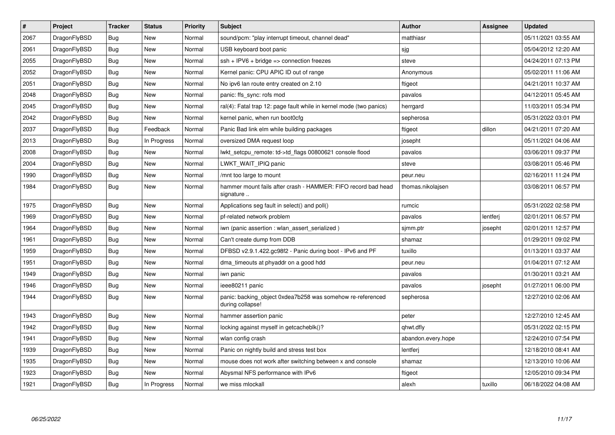| $\sharp$ | Project      | <b>Tracker</b> | <b>Status</b> | <b>Priority</b> | <b>Subject</b>                                                                 | <b>Author</b>      | Assignee | <b>Updated</b>      |
|----------|--------------|----------------|---------------|-----------------|--------------------------------------------------------------------------------|--------------------|----------|---------------------|
| 2067     | DragonFlyBSD | Bug            | <b>New</b>    | Normal          | sound/pcm: "play interrupt timeout, channel dead"                              | matthiasr          |          | 05/11/2021 03:55 AM |
| 2061     | DragonFlyBSD | Bug            | <b>New</b>    | Normal          | USB keyboard boot panic                                                        | sjg                |          | 05/04/2012 12:20 AM |
| 2055     | DragonFlyBSD | Bug            | New           | Normal          | $ssh + IPV6 + bridge \Rightarrow$ connection freezes                           | steve              |          | 04/24/2011 07:13 PM |
| 2052     | DragonFlyBSD | <b>Bug</b>     | <b>New</b>    | Normal          | Kernel panic: CPU APIC ID out of range                                         | Anonymous          |          | 05/02/2011 11:06 AM |
| 2051     | DragonFlyBSD | <b>Bug</b>     | <b>New</b>    | Normal          | No ipv6 lan route entry created on 2.10                                        | ftigeot            |          | 04/21/2011 10:37 AM |
| 2048     | DragonFlyBSD | <b>Bug</b>     | <b>New</b>    | Normal          | panic: ffs_sync: rofs mod                                                      | pavalos            |          | 04/12/2011 05:45 AM |
| 2045     | DragonFlyBSD | Bug            | New           | Normal          | ral(4): Fatal trap 12: page fault while in kernel mode (two panics)            | herrgard           |          | 11/03/2011 05:34 PM |
| 2042     | DragonFlyBSD | Bug            | New           | Normal          | kernel panic, when run boot0cfg                                                | sepherosa          |          | 05/31/2022 03:01 PM |
| 2037     | DragonFlyBSD | Bug            | Feedback      | Normal          | Panic Bad link elm while building packages                                     | ftigeot            | dillon   | 04/21/2011 07:20 AM |
| 2013     | DragonFlyBSD | <b>Bug</b>     | In Progress   | Normal          | oversized DMA request loop                                                     | josepht            |          | 05/11/2021 04:06 AM |
| 2008     | DragonFlyBSD | <b>Bug</b>     | New           | Normal          | lwkt_setcpu_remote: td->td_flags 00800621 console flood                        | pavalos            |          | 03/06/2011 09:37 PM |
| 2004     | DragonFlyBSD | Bug            | New           | Normal          | LWKT WAIT IPIQ panic                                                           | steve              |          | 03/08/2011 05:46 PM |
| 1990     | DragonFlyBSD | Bug            | New           | Normal          | /mnt too large to mount                                                        | peur.neu           |          | 02/16/2011 11:24 PM |
| 1984     | DragonFlyBSD | Bug            | <b>New</b>    | Normal          | hammer mount fails after crash - HAMMER: FIFO record bad head<br>signature     | thomas.nikolajsen  |          | 03/08/2011 06:57 PM |
| 1975     | DragonFlyBSD | <b>Bug</b>     | New           | Normal          | Applications seg fault in select() and poll()                                  | rumcic             |          | 05/31/2022 02:58 PM |
| 1969     | DragonFlyBSD | <b>Bug</b>     | New           | Normal          | pf-related network problem                                                     | pavalos            | lentferj | 02/01/2011 06:57 PM |
| 1964     | DragonFlyBSD | Bug            | <b>New</b>    | Normal          | iwn (panic assertion : wlan assert serialized)                                 | sjmm.ptr           | josepht  | 02/01/2011 12:57 PM |
| 1961     | DragonFlyBSD | Bug            | New           | Normal          | Can't create dump from DDB                                                     | shamaz             |          | 01/29/2011 09:02 PM |
| 1959     | DragonFlyBSD | Bug            | New           | Normal          | DFBSD v2.9.1.422.gc98f2 - Panic during boot - IPv6 and PF                      | tuxillo            |          | 01/13/2011 03:37 AM |
| 1951     | DragonFlyBSD | Bug            | New           | Normal          | dma_timeouts at phyaddr on a good hdd                                          | peur.neu           |          | 01/04/2011 07:12 AM |
| 1949     | DragonFlyBSD | Bug            | New           | Normal          | iwn panic                                                                      | pavalos            |          | 01/30/2011 03:21 AM |
| 1946     | DragonFlyBSD | Bug            | <b>New</b>    | Normal          | ieee80211 panic                                                                | pavalos            | josepht  | 01/27/2011 06:00 PM |
| 1944     | DragonFlyBSD | Bug            | New           | Normal          | panic: backing object 0xdea7b258 was somehow re-referenced<br>during collapse! | sepherosa          |          | 12/27/2010 02:06 AM |
| 1943     | DragonFlyBSD | Bug            | New           | Normal          | hammer assertion panic                                                         | peter              |          | 12/27/2010 12:45 AM |
| 1942     | DragonFlyBSD | Bug            | New           | Normal          | locking against myself in getcacheblk()?                                       | qhwt.dfly          |          | 05/31/2022 02:15 PM |
| 1941     | DragonFlyBSD | Bug            | New           | Normal          | wlan config crash                                                              | abandon.every.hope |          | 12/24/2010 07:54 PM |
| 1939     | DragonFlyBSD | <b>Bug</b>     | New           | Normal          | Panic on nightly build and stress test box                                     | lentferj           |          | 12/18/2010 08:41 AM |
| 1935     | DragonFlyBSD | Bug            | New           | Normal          | mouse does not work after switching between x and console                      | shamaz             |          | 12/13/2010 10:06 AM |
| 1923     | DragonFlyBSD | Bug            | New           | Normal          | Abysmal NFS performance with IPv6                                              | ftigeot            |          | 12/05/2010 09:34 PM |
| 1921     | DragonFlyBSD | <b>Bug</b>     | In Progress   | Normal          | we miss mlockall                                                               | alexh              | tuxillo  | 06/18/2022 04:08 AM |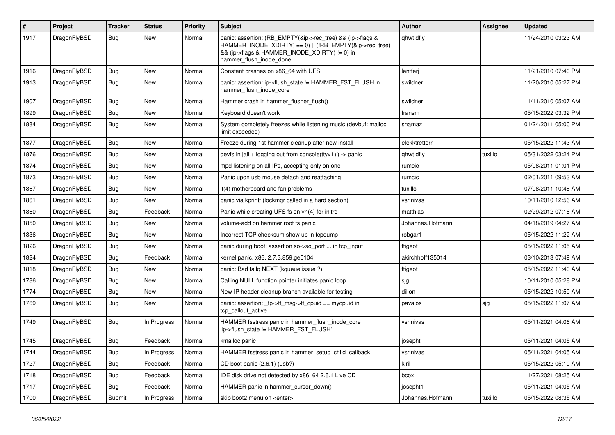| $\vert$ # | Project      | Tracker    | <b>Status</b> | <b>Priority</b> | <b>Subject</b>                                                                                                                                                                                    | Author           | Assignee | <b>Updated</b>      |
|-----------|--------------|------------|---------------|-----------------|---------------------------------------------------------------------------------------------------------------------------------------------------------------------------------------------------|------------------|----------|---------------------|
| 1917      | DragonFlyBSD | Bug        | New           | Normal          | panic: assertion: (RB_EMPTY(&ip->rec_tree) && (ip->flags &<br>HAMMER_INODE_XDIRTY) == 0)    (!RB_EMPTY(&ip->rec_tree)<br>&& (ip->flags & HAMMER INODE XDIRTY) != 0) in<br>hammer_flush_inode_done | qhwt.dfly        |          | 11/24/2010 03:23 AM |
| 1916      | DragonFlyBSD | Bug        | <b>New</b>    | Normal          | Constant crashes on x86 64 with UFS                                                                                                                                                               | lentferj         |          | 11/21/2010 07:40 PM |
| 1913      | DragonFlyBSD | <b>Bug</b> | New           | Normal          | panic: assertion: ip->flush_state != HAMMER_FST_FLUSH in<br>hammer_flush_inode_core                                                                                                               | swildner         |          | 11/20/2010 05:27 PM |
| 1907      | DragonFlyBSD | Bug        | New           | Normal          | Hammer crash in hammer flusher flush()                                                                                                                                                            | swildner         |          | 11/11/2010 05:07 AM |
| 1899      | DragonFlyBSD | Bug        | New           | Normal          | Keyboard doesn't work                                                                                                                                                                             | fransm           |          | 05/15/2022 03:32 PM |
| 1884      | DragonFlyBSD | Bug        | New           | Normal          | System completely freezes while listening music (devbuf: malloc<br>limit exceeded)                                                                                                                | shamaz           |          | 01/24/2011 05:00 PM |
| 1877      | DragonFlyBSD | <b>Bug</b> | <b>New</b>    | Normal          | Freeze during 1st hammer cleanup after new install                                                                                                                                                | elekktretterr    |          | 05/15/2022 11:43 AM |
| 1876      | DragonFlyBSD | <b>Bug</b> | <b>New</b>    | Normal          | devfs in jail + logging out from console(ttyv1+) -> panic                                                                                                                                         | qhwt.dfly        | tuxillo  | 05/31/2022 03:24 PM |
| 1874      | DragonFlyBSD | <b>Bug</b> | New           | Normal          | mpd listening on all IPs, accepting only on one                                                                                                                                                   | rumcic           |          | 05/08/2011 01:01 PM |
| 1873      | DragonFlyBSD | Bug        | <b>New</b>    | Normal          | Panic upon usb mouse detach and reattaching                                                                                                                                                       | rumcic           |          | 02/01/2011 09:53 AM |
| 1867      | DragonFlyBSD | <b>Bug</b> | New           | Normal          | it(4) motherboard and fan problems                                                                                                                                                                | tuxillo          |          | 07/08/2011 10:48 AM |
| 1861      | DragonFlyBSD | <b>Bug</b> | New           | Normal          | panic via kprintf (lockmgr called in a hard section)                                                                                                                                              | vsrinivas        |          | 10/11/2010 12:56 AM |
| 1860      | DragonFlyBSD | <b>Bug</b> | Feedback      | Normal          | Panic while creating UFS fs on vn(4) for initrd                                                                                                                                                   | matthias         |          | 02/29/2012 07:16 AM |
| 1850      | DragonFlyBSD | Bug        | New           | Normal          | volume-add on hammer root fs panic                                                                                                                                                                | Johannes.Hofmann |          | 04/18/2019 04:27 AM |
| 1836      | DragonFlyBSD | Bug        | <b>New</b>    | Normal          | Incorrect TCP checksum show up in tcpdump                                                                                                                                                         | robgar1          |          | 05/15/2022 11:22 AM |
| 1826      | DragonFlyBSD | Bug        | New           | Normal          | panic during boot: assertion so->so port  in tcp input                                                                                                                                            | ftigeot          |          | 05/15/2022 11:05 AM |
| 1824      | DragonFlyBSD | <b>Bug</b> | Feedback      | Normal          | kernel panic, x86, 2.7.3.859.ge5104                                                                                                                                                               | akirchhoff135014 |          | 03/10/2013 07:49 AM |
| 1818      | DragonFlyBSD | <b>Bug</b> | New           | Normal          | panic: Bad tailg NEXT (kqueue issue ?)                                                                                                                                                            | ftigeot          |          | 05/15/2022 11:40 AM |
| 1786      | DragonFlyBSD | <b>Bug</b> | New           | Normal          | Calling NULL function pointer initiates panic loop                                                                                                                                                | sjg              |          | 10/11/2010 05:28 PM |
| 1774      | DragonFlyBSD | Bug        | New           | Normal          | New IP header cleanup branch available for testing                                                                                                                                                | dillon           |          | 05/15/2022 10:59 AM |
| 1769      | DragonFlyBSD | Bug        | New           | Normal          | panic: assertion: _tp->tt_msg->tt_cpuid == mycpuid in<br>tcp callout active                                                                                                                       | pavalos          | sjg      | 05/15/2022 11:07 AM |
| 1749      | DragonFlyBSD | Bug        | In Progress   | Normal          | HAMMER fsstress panic in hammer_flush_inode_core<br>'ip->flush_state != HAMMER_FST_FLUSH'                                                                                                         | vsrinivas        |          | 05/11/2021 04:06 AM |
| 1745      | DragonFlyBSD | <b>Bug</b> | Feedback      | Normal          | kmalloc panic                                                                                                                                                                                     | josepht          |          | 05/11/2021 04:05 AM |
| 1744      | DragonFlyBSD | Bug        | In Progress   | Normal          | HAMMER fsstress panic in hammer setup child callback                                                                                                                                              | vsrinivas        |          | 05/11/2021 04:05 AM |
| 1727      | DragonFlyBSD | Bug        | Feedback      | Normal          | CD boot panic (2.6.1) (usb?)                                                                                                                                                                      | kiril            |          | 05/15/2022 05:10 AM |
| 1718      | DragonFlyBSD | <b>Bug</b> | Feedback      | Normal          | IDE disk drive not detected by x86_64 2.6.1 Live CD                                                                                                                                               | bcox             |          | 11/27/2021 08:25 AM |
| 1717      | DragonFlyBSD | <b>Bug</b> | Feedback      | Normal          | HAMMER panic in hammer_cursor_down()                                                                                                                                                              | josepht1         |          | 05/11/2021 04:05 AM |
| 1700      | DragonFlyBSD | Submit     | In Progress   | Normal          | skip boot2 menu on <enter></enter>                                                                                                                                                                | Johannes.Hofmann | tuxillo  | 05/15/2022 08:35 AM |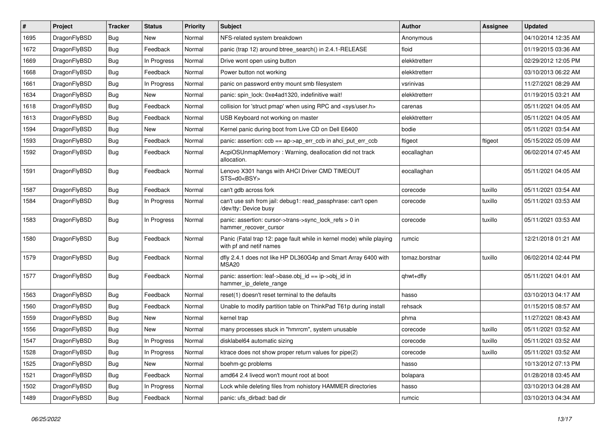| $\sharp$ | Project      | <b>Tracker</b> | <b>Status</b> | <b>Priority</b> | Subject                                                                                         | Author         | Assignee | <b>Updated</b>      |
|----------|--------------|----------------|---------------|-----------------|-------------------------------------------------------------------------------------------------|----------------|----------|---------------------|
| 1695     | DragonFlyBSD | <b>Bug</b>     | New           | Normal          | NFS-related system breakdown                                                                    | Anonymous      |          | 04/10/2014 12:35 AM |
| 1672     | DragonFlyBSD | Bug            | Feedback      | Normal          | panic (trap 12) around btree_search() in 2.4.1-RELEASE                                          | floid          |          | 01/19/2015 03:36 AM |
| 1669     | DragonFlyBSD | <b>Bug</b>     | In Progress   | Normal          | Drive wont open using button                                                                    | elekktretterr  |          | 02/29/2012 12:05 PM |
| 1668     | DragonFlyBSD | <b>Bug</b>     | Feedback      | Normal          | Power button not working                                                                        | elekktretterr  |          | 03/10/2013 06:22 AM |
| 1661     | DragonFlyBSD | Bug            | In Progress   | Normal          | panic on password entry mount smb filesystem                                                    | vsrinivas      |          | 11/27/2021 08:29 AM |
| 1634     | DragonFlyBSD | Bug            | New           | Normal          | panic: spin lock: 0xe4ad1320, indefinitive wait!                                                | elekktretterr  |          | 01/19/2015 03:21 AM |
| 1618     | DragonFlyBSD | Bug            | Feedback      | Normal          | collision for 'struct pmap' when using RPC and <sys user.h=""></sys>                            | carenas        |          | 05/11/2021 04:05 AM |
| 1613     | DragonFlyBSD | <b>Bug</b>     | Feedback      | Normal          | USB Keyboard not working on master                                                              | elekktretterr  |          | 05/11/2021 04:05 AM |
| 1594     | DragonFlyBSD | <b>Bug</b>     | <b>New</b>    | Normal          | Kernel panic during boot from Live CD on Dell E6400                                             | bodie          |          | 05/11/2021 03:54 AM |
| 1593     | DragonFlyBSD | Bug            | Feedback      | Normal          | panic: assertion: ccb == ap->ap_err_ccb in ahci_put_err_ccb                                     | ftigeot        | ftigeot  | 05/15/2022 05:09 AM |
| 1592     | DragonFlyBSD | <b>Bug</b>     | Feedback      | Normal          | AcpiOSUnmapMemory: Warning, deallocation did not track<br>allocation.                           | eocallaghan    |          | 06/02/2014 07:45 AM |
| 1591     | DragonFlyBSD | <b>Bug</b>     | Feedback      | Normal          | Lenovo X301 hangs with AHCI Driver CMD TIMEOUT<br>STS=d0 <bsy></bsy>                            | eocallaghan    |          | 05/11/2021 04:05 AM |
| 1587     | DragonFlyBSD | Bug            | Feedback      | Normal          | can't gdb across fork                                                                           | corecode       | tuxillo  | 05/11/2021 03:54 AM |
| 1584     | DragonFlyBSD | Bug            | In Progress   | Normal          | can't use ssh from jail: debug1: read_passphrase: can't open<br>/dev/tty: Device busy           | corecode       | tuxillo  | 05/11/2021 03:53 AM |
| 1583     | DragonFlyBSD | <b>Bug</b>     | In Progress   | Normal          | panic: assertion: cursor->trans->sync_lock_refs > 0 in<br>hammer_recover_cursor                 | corecode       | tuxillo  | 05/11/2021 03:53 AM |
| 1580     | DragonFlyBSD | Bug            | Feedback      | Normal          | Panic (Fatal trap 12: page fault while in kernel mode) while playing<br>with pf and netif names | rumcic         |          | 12/21/2018 01:21 AM |
| 1579     | DragonFlyBSD | <b>Bug</b>     | Feedback      | Normal          | dfly 2.4.1 does not like HP DL360G4p and Smart Array 6400 with<br>MSA20                         | tomaz.borstnar | tuxillo  | 06/02/2014 02:44 PM |
| 1577     | DragonFlyBSD | <b>Bug</b>     | Feedback      | Normal          | panic: assertion: leaf->base.obj id == ip->obj id in<br>hammer_ip_delete_range                  | qhwt+dfly      |          | 05/11/2021 04:01 AM |
| 1563     | DragonFlyBSD | Bug            | Feedback      | Normal          | reset(1) doesn't reset terminal to the defaults                                                 | hasso          |          | 03/10/2013 04:17 AM |
| 1560     | DragonFlyBSD | <b>Bug</b>     | Feedback      | Normal          | Unable to modify partition table on ThinkPad T61p during install                                | rehsack        |          | 01/15/2015 08:57 AM |
| 1559     | DragonFlyBSD | <b>Bug</b>     | New           | Normal          | kernel trap                                                                                     | phma           |          | 11/27/2021 08:43 AM |
| 1556     | DragonFlyBSD | Bug            | New           | Normal          | many processes stuck in "hmrrcm", system unusable                                               | corecode       | tuxillo  | 05/11/2021 03:52 AM |
| 1547     | DragonFlyBSD | Bug            | In Progress   | Normal          | disklabel64 automatic sizing                                                                    | corecode       | tuxillo  | 05/11/2021 03:52 AM |
| 1528     | DragonFlyBSD | <b>Bug</b>     | In Progress   | Normal          | ktrace does not show proper return values for pipe(2)                                           | corecode       | tuxillo  | 05/11/2021 03:52 AM |
| 1525     | DragonFlyBSD | <b>Bug</b>     | New           | Normal          | boehm-gc problems                                                                               | hasso          |          | 10/13/2012 07:13 PM |
| 1521     | DragonFlyBSD | Bug            | Feedback      | Normal          | amd64 2.4 livecd won't mount root at boot                                                       | bolapara       |          | 01/28/2018 03:45 AM |
| 1502     | DragonFlyBSD | <b>Bug</b>     | In Progress   | Normal          | Lock while deleting files from nohistory HAMMER directories                                     | hasso          |          | 03/10/2013 04:28 AM |
| 1489     | DragonFlyBSD | <b>Bug</b>     | Feedback      | Normal          | panic: ufs_dirbad: bad dir                                                                      | rumcic         |          | 03/10/2013 04:34 AM |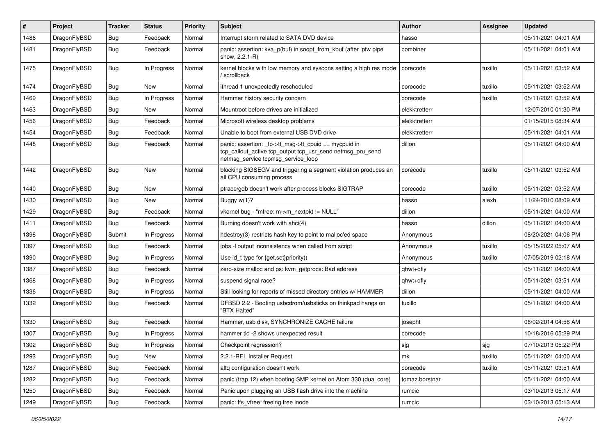| #    | Project      | <b>Tracker</b> | <b>Status</b> | <b>Priority</b> | Subject                                                                                                                                                   | <b>Author</b>  | <b>Assignee</b> | <b>Updated</b>      |
|------|--------------|----------------|---------------|-----------------|-----------------------------------------------------------------------------------------------------------------------------------------------------------|----------------|-----------------|---------------------|
| 1486 | DragonFlyBSD | <b>Bug</b>     | Feedback      | Normal          | Interrupt storm related to SATA DVD device                                                                                                                | hasso          |                 | 05/11/2021 04:01 AM |
| 1481 | DragonFlyBSD | <b>Bug</b>     | Feedback      | Normal          | panic: assertion: kva_p(buf) in soopt_from_kbuf (after ipfw pipe<br>show, 2.2.1-R)                                                                        | combiner       |                 | 05/11/2021 04:01 AM |
| 1475 | DragonFlyBSD | Bug            | In Progress   | Normal          | kernel blocks with low memory and syscons setting a high res mode<br>scrollback                                                                           | corecode       | tuxillo         | 05/11/2021 03:52 AM |
| 1474 | DragonFlyBSD | Bug            | New           | Normal          | ithread 1 unexpectedly rescheduled                                                                                                                        | corecode       | tuxillo         | 05/11/2021 03:52 AM |
| 1469 | DragonFlyBSD | <b>Bug</b>     | In Progress   | Normal          | Hammer history security concern                                                                                                                           | corecode       | tuxillo         | 05/11/2021 03:52 AM |
| 1463 | DragonFlyBSD | Bug            | New           | Normal          | Mountroot before drives are initialized                                                                                                                   | elekktretterr  |                 | 12/07/2010 01:30 PM |
| 1456 | DragonFlyBSD | <b>Bug</b>     | Feedback      | Normal          | Microsoft wireless desktop problems                                                                                                                       | elekktretterr  |                 | 01/15/2015 08:34 AM |
| 1454 | DragonFlyBSD | Bug            | Feedback      | Normal          | Unable to boot from external USB DVD drive                                                                                                                | elekktretterr  |                 | 05/11/2021 04:01 AM |
| 1448 | DragonFlyBSD | <b>Bug</b>     | Feedback      | Normal          | panic: assertion: _tp->tt_msg->tt_cpuid == mycpuid in<br>tcp_callout_active tcp_output tcp_usr_send netmsg_pru_send<br>netmsg_service tcpmsg_service_loop | dillon         |                 | 05/11/2021 04:00 AM |
| 1442 | DragonFlyBSD | Bug            | <b>New</b>    | Normal          | blocking SIGSEGV and triggering a segment violation produces an<br>all CPU consuming process                                                              | corecode       | tuxillo         | 05/11/2021 03:52 AM |
| 1440 | DragonFlyBSD | Bug            | <b>New</b>    | Normal          | ptrace/gdb doesn't work after process blocks SIGTRAP                                                                                                      | corecode       | tuxillo         | 05/11/2021 03:52 AM |
| 1430 | DragonFlyBSD | <b>Bug</b>     | New           | Normal          | Buggy $w(1)$ ?                                                                                                                                            | hasso          | alexh           | 11/24/2010 08:09 AM |
| 1429 | DragonFlyBSD | <b>Bug</b>     | Feedback      | Normal          | vkernel bug - "mfree: m->m_nextpkt != NULL"                                                                                                               | dillon         |                 | 05/11/2021 04:00 AM |
| 1411 | DragonFlyBSD | <b>Bug</b>     | Feedback      | Normal          | Burning doesn't work with ahci(4)                                                                                                                         | hasso          | dillon          | 05/11/2021 04:00 AM |
| 1398 | DragonFlyBSD | Submit         | In Progress   | Normal          | hdestroy(3) restricts hash key to point to malloc'ed space                                                                                                | Anonymous      |                 | 08/20/2021 04:06 PM |
| 1397 | DragonFlyBSD | <b>Bug</b>     | Feedback      | Normal          | jobs -I output inconsistency when called from script                                                                                                      | Anonymous      | tuxillo         | 05/15/2022 05:07 AM |
| 1390 | DragonFlyBSD | <b>Bug</b>     | In Progress   | Normal          | Use id_t type for {get,set}priority()                                                                                                                     | Anonymous      | tuxillo         | 07/05/2019 02:18 AM |
| 1387 | DragonFlyBSD | <b>Bug</b>     | Feedback      | Normal          | zero-size malloc and ps: kvm_getprocs: Bad address                                                                                                        | qhwt+dfly      |                 | 05/11/2021 04:00 AM |
| 1368 | DragonFlyBSD | <b>Bug</b>     | In Progress   | Normal          | suspend signal race?                                                                                                                                      | qhwt+dfly      |                 | 05/11/2021 03:51 AM |
| 1336 | DragonFlyBSD | <b>Bug</b>     | In Progress   | Normal          | Still looking for reports of missed directory entries w/ HAMMER                                                                                           | dillon         |                 | 05/11/2021 04:00 AM |
| 1332 | DragonFlyBSD | Bug            | Feedback      | Normal          | DFBSD 2.2 - Booting usbcdrom/usbsticks on thinkpad hangs on<br>"BTX Halted"                                                                               | tuxillo        |                 | 05/11/2021 04:00 AM |
| 1330 | DragonFlyBSD | Bug            | Feedback      | Normal          | Hammer, usb disk, SYNCHRONIZE CACHE failure                                                                                                               | josepht        |                 | 06/02/2014 04:56 AM |
| 1307 | DragonFlyBSD | <b>Bug</b>     | In Progress   | Normal          | hammer tid -2 shows unexpected result                                                                                                                     | corecode       |                 | 10/18/2016 05:29 PM |
| 1302 | DragonFlyBSD | <b>Bug</b>     | In Progress   | Normal          | Checkpoint regression?                                                                                                                                    | sjg            | sjg             | 07/10/2013 05:22 PM |
| 1293 | DragonFlyBSD | <b>Bug</b>     | New           | Normal          | 2.2.1-REL Installer Request                                                                                                                               | mk             | tuxillo         | 05/11/2021 04:00 AM |
| 1287 | DragonFlyBSD | <b>Bug</b>     | Feedback      | Normal          | altg configuration doesn't work                                                                                                                           | corecode       | tuxillo         | 05/11/2021 03:51 AM |
| 1282 | DragonFlyBSD | <b>Bug</b>     | Feedback      | Normal          | panic (trap 12) when booting SMP kernel on Atom 330 (dual core)                                                                                           | tomaz.borstnar |                 | 05/11/2021 04:00 AM |
| 1250 | DragonFlyBSD | <b>Bug</b>     | Feedback      | Normal          | Panic upon plugging an USB flash drive into the machine                                                                                                   | rumcic         |                 | 03/10/2013 05:17 AM |
| 1249 | DragonFlyBSD | <b>Bug</b>     | Feedback      | Normal          | panic: ffs vfree: freeing free inode                                                                                                                      | rumcic         |                 | 03/10/2013 05:13 AM |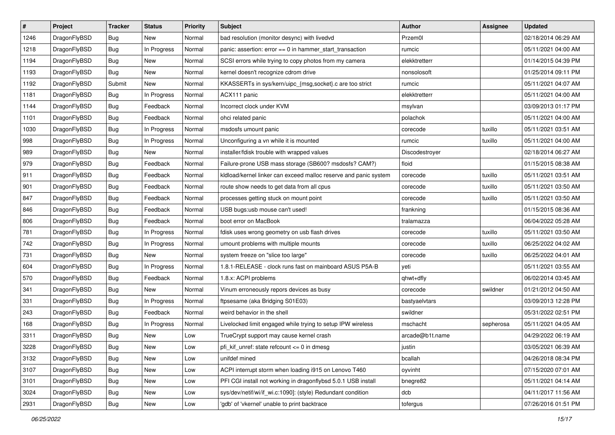| $\sharp$ | Project      | <b>Tracker</b> | <b>Status</b> | <b>Priority</b> | Subject                                                          | Author          | Assignee  | <b>Updated</b>      |
|----------|--------------|----------------|---------------|-----------------|------------------------------------------------------------------|-----------------|-----------|---------------------|
| 1246     | DragonFlyBSD | <b>Bug</b>     | <b>New</b>    | Normal          | bad resolution (monitor desync) with livedvd                     | Przem0l         |           | 02/18/2014 06:29 AM |
| 1218     | DragonFlyBSD | Bug            | In Progress   | Normal          | panic: assertion: error == 0 in hammer_start_transaction         | rumcic          |           | 05/11/2021 04:00 AM |
| 1194     | DragonFlyBSD | <b>Bug</b>     | New           | Normal          | SCSI errors while trying to copy photos from my camera           | elekktretterr   |           | 01/14/2015 04:39 PM |
| 1193     | DragonFlyBSD | Bug            | New           | Normal          | kernel doesn't recognize cdrom drive                             | nonsolosoft     |           | 01/25/2014 09:11 PM |
| 1192     | DragonFlyBSD | Submit         | <b>New</b>    | Normal          | KKASSERTs in sys/kern/uipc_{msg,socket}.c are too strict         | rumcic          |           | 05/11/2021 04:07 AM |
| 1181     | DragonFlyBSD | Bug            | In Progress   | Normal          | ACX111 panic                                                     | elekktretterr   |           | 05/11/2021 04:00 AM |
| 1144     | DragonFlyBSD | Bug            | Feedback      | Normal          | Incorrect clock under KVM                                        | msylvan         |           | 03/09/2013 01:17 PM |
| 1101     | DragonFlyBSD | Bug            | Feedback      | Normal          | ohci related panic                                               | polachok        |           | 05/11/2021 04:00 AM |
| 1030     | DragonFlyBSD | <b>Bug</b>     | In Progress   | Normal          | msdosfs umount panic                                             | corecode        | tuxillo   | 05/11/2021 03:51 AM |
| 998      | DragonFlyBSD | Bug            | In Progress   | Normal          | Unconfiguring a vn while it is mounted                           | rumcic          | tuxillo   | 05/11/2021 04:00 AM |
| 989      | DragonFlyBSD | Bug            | New           | Normal          | installer/fdisk trouble with wrapped values                      | Discodestroyer  |           | 02/18/2014 06:27 AM |
| 979      | DragonFlyBSD | Bug            | Feedback      | Normal          | Failure-prone USB mass storage (SB600? msdosfs? CAM?)            | floid           |           | 01/15/2015 08:38 AM |
| 911      | DragonFlyBSD | Bug            | Feedback      | Normal          | kldload/kernel linker can exceed malloc reserve and panic system | corecode        | tuxillo   | 05/11/2021 03:51 AM |
| 901      | DragonFlyBSD | <b>Bug</b>     | Feedback      | Normal          | route show needs to get data from all cpus                       | corecode        | tuxillo   | 05/11/2021 03:50 AM |
| 847      | DragonFlyBSD | <b>Bug</b>     | Feedback      | Normal          | processes getting stuck on mount point                           | corecode        | tuxillo   | 05/11/2021 03:50 AM |
| 846      | DragonFlyBSD | <b>Bug</b>     | Feedback      | Normal          | USB bugs:usb mouse can't used!                                   | frankning       |           | 01/15/2015 08:36 AM |
| 806      | DragonFlyBSD | Bug            | Feedback      | Normal          | boot error on MacBook                                            | tralamazza      |           | 06/04/2022 05:28 AM |
| 781      | DragonFlyBSD | <b>Bug</b>     | In Progress   | Normal          | fdisk uses wrong geometry on usb flash drives                    | corecode        | tuxillo   | 05/11/2021 03:50 AM |
| 742      | DragonFlyBSD | Bug            | In Progress   | Normal          | umount problems with multiple mounts                             | corecode        | tuxillo   | 06/25/2022 04:02 AM |
| 731      | DragonFlyBSD | Bug            | New           | Normal          | system freeze on "slice too large"                               | corecode        | tuxillo   | 06/25/2022 04:01 AM |
| 604      | DragonFlyBSD | <b>Bug</b>     | In Progress   | Normal          | 1.8.1-RELEASE - clock runs fast on mainboard ASUS P5A-B          | yeti            |           | 05/11/2021 03:55 AM |
| 570      | DragonFlyBSD | <b>Bug</b>     | Feedback      | Normal          | 1.8.x: ACPI problems                                             | qhwt+dfly       |           | 06/02/2014 03:45 AM |
| 341      | DragonFlyBSD | Bug            | New           | Normal          | Vinum erroneously repors devices as busy                         | corecode        | swildner  | 01/21/2012 04:50 AM |
| 331      | DragonFlyBSD | <b>Bug</b>     | In Progress   | Normal          | ftpsesame (aka Bridging S01E03)                                  | bastyaelvtars   |           | 03/09/2013 12:28 PM |
| 243      | DragonFlyBSD | Bug            | Feedback      | Normal          | weird behavior in the shell                                      | swildner        |           | 05/31/2022 02:51 PM |
| 168      | DragonFlyBSD | Bug            | In Progress   | Normal          | Livelocked limit engaged while trying to setup IPW wireless      | mschacht        | sepherosa | 05/11/2021 04:05 AM |
| 3311     | DragonFlyBSD | Bug            | New           | Low             | TrueCrypt support may cause kernel crash                         | arcade@b1t.name |           | 04/29/2022 06:19 AM |
| 3228     | DragonFlyBSD | <b>Bug</b>     | New           | Low             | pfi_kif_unref: state refcount <= 0 in dmesg                      | justin          |           | 03/05/2021 06:39 AM |
| 3132     | DragonFlyBSD | Bug            | New           | Low             | unifdef mined                                                    | bcallah         |           | 04/26/2018 08:34 PM |
| 3107     | DragonFlyBSD | Bug            | New           | Low             | ACPI interrupt storm when loading i915 on Lenovo T460            | oyvinht         |           | 07/15/2020 07:01 AM |
| 3101     | DragonFlyBSD | <b>Bug</b>     | New           | Low             | PFI CGI install not working in dragonflybsd 5.0.1 USB install    | bnegre82        |           | 05/11/2021 04:14 AM |
| 3024     | DragonFlyBSD | <b>Bug</b>     | New           | Low             | sys/dev/netif/wi/if_wi.c:1090]: (style) Redundant condition      | dcb             |           | 04/11/2017 11:56 AM |
| 2931     | DragonFlyBSD | <b>Bug</b>     | New           | Low             | 'gdb' of 'vkernel' unable to print backtrace                     | tofergus        |           | 07/26/2016 01:51 PM |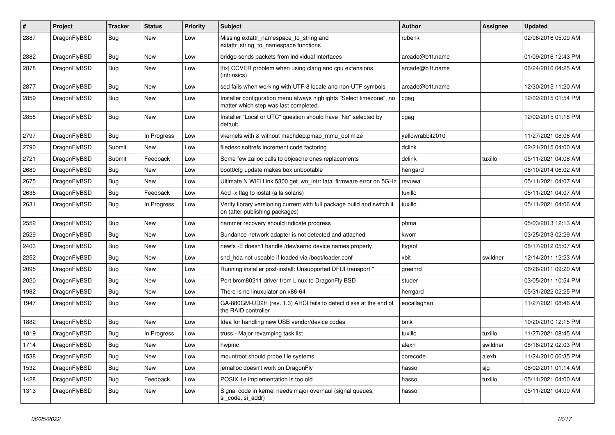| #    | Project      | <b>Tracker</b> | <b>Status</b> | <b>Priority</b> | Subject                                                                                                       | Author           | Assignee | <b>Updated</b>      |
|------|--------------|----------------|---------------|-----------------|---------------------------------------------------------------------------------------------------------------|------------------|----------|---------------------|
| 2887 | DragonFlyBSD | <b>Bug</b>     | New           | Low             | Missing extattr_namespace_to_string and<br>extattr_string_to_namespace functions                              | rubenk           |          | 02/06/2016 05:09 AM |
| 2882 | DragonFlyBSD | <b>Bug</b>     | <b>New</b>    | Low             | bridge sends packets from individual interfaces                                                               | arcade@b1t.name  |          | 01/09/2016 12:43 PM |
| 2878 | DragonFlyBSD | <b>Bug</b>     | <b>New</b>    | Low             | [fix] CCVER problem when using clang and cpu extensions<br>(intrinsics)                                       | arcade@b1t.name  |          | 06/24/2016 04:25 AM |
| 2877 | DragonFlyBSD | Bug            | New           | Low             | sed fails when working with UTF-8 locale and non-UTF symbols                                                  | arcade@b1t.name  |          | 12/30/2015 11:20 AM |
| 2859 | DragonFlyBSD | <b>Bug</b>     | New           | Low             | Installer configuration menu always highlights "Select timezone", no<br>matter which step was last completed. | cgag             |          | 12/02/2015 01:54 PM |
| 2858 | DragonFlyBSD | Bug            | New           | Low             | Installer "Local or UTC" question should have "No" selected by<br>default.                                    | cgag             |          | 12/02/2015 01:18 PM |
| 2797 | DragonFlyBSD | <b>Bug</b>     | In Progress   | Low             | vkernels with & without machdep.pmap_mmu_optimize                                                             | yellowrabbit2010 |          | 11/27/2021 08:06 AM |
| 2790 | DragonFlyBSD | Submit         | New           | Low             | filedesc softrefs increment code factoring                                                                    | dclink           |          | 02/21/2015 04:00 AM |
| 2721 | DragonFlyBSD | Submit         | Feedback      | Low             | Some few zalloc calls to objcache ones replacements                                                           | dclink           | tuxillo  | 05/11/2021 04:08 AM |
| 2680 | DragonFlyBSD | <b>Bug</b>     | New           | Low             | boot0cfg update makes box unbootable                                                                          | herrgard         |          | 06/10/2014 06:02 AM |
| 2675 | DragonFlyBSD | <b>Bug</b>     | New           | Low             | Ultimate N WiFi Link 5300 get iwn intr: fatal firmware error on 5GHz                                          | revuwa           |          | 05/11/2021 04:07 AM |
| 2636 | DragonFlyBSD | Bug            | Feedback      | Low             | Add -x flag to iostat (a la solaris)                                                                          | tuxillo          |          | 05/11/2021 04:07 AM |
| 2631 | DragonFlyBSD | Bug            | In Progress   | Low             | Verify library versioning current with full package build and switch it<br>on (after publishing packages)     | tuxillo          |          | 05/11/2021 04:06 AM |
| 2552 | DragonFlyBSD | Bug            | <b>New</b>    | Low             | hammer recovery should indicate progress                                                                      | phma             |          | 05/03/2013 12:13 AM |
| 2529 | DragonFlyBSD | Bug            | New           | Low             | Sundance network adapter is not detected and attached                                                         | kworr            |          | 03/25/2013 02:29 AM |
| 2403 | DragonFlyBSD | Bug            | New           | Low             | newfs -E doesn't handle /dev/serno device names properly                                                      | ftigeot          |          | 08/17/2012 05:07 AM |
| 2252 | DragonFlyBSD | Bug            | New           | Low             | snd hda not useable if loaded via /boot/loader.conf                                                           | xbit             | swildner | 12/14/2011 12:23 AM |
| 2095 | DragonFlyBSD | Bug            | New           | Low             | Running installer post-install: Unsupported DFUI transport "                                                  | greenrd          |          | 06/26/2011 09:20 AM |
| 2020 | DragonFlyBSD | Bug            | <b>New</b>    | Low             | Port brcm80211 driver from Linux to DragonFly BSD                                                             | studer           |          | 03/05/2011 10:54 PM |
| 1982 | DragonFlyBSD | Bug            | New           | Low             | There is no linuxulator on x86-64                                                                             | herrgard         |          | 05/31/2022 02:25 PM |
| 1947 | DragonFlyBSD | Bug            | New           | Low             | GA-880GM-UD2H (rev. 1.3) AHCI fails to detect disks at the end of<br>the RAID controller                      | eocallaghan      |          | 11/27/2021 08:46 AM |
| 1882 | DragonFlyBSD | Bug            | New           | Low             | Idea for handling new USB vendor/device codes                                                                 | bmk              |          | 10/20/2010 12:15 PM |
| 1819 | DragonFlyBSD | Bug            | In Progress   | Low             | truss - Major revamping task list                                                                             | tuxillo          | tuxillo  | 11/27/2021 08:45 AM |
| 1714 | DragonFlyBSD | Bug            | <b>New</b>    | Low             | hwpmc                                                                                                         | alexh            | swildner | 08/18/2012 02:03 PM |
| 1538 | DragonFlyBSD | <b>Bug</b>     | New           | Low             | mountroot should probe file systems                                                                           | corecode         | alexh    | 11/24/2010 06:35 PM |
| 1532 | DragonFlyBSD | <b>Bug</b>     | New           | Low             | jemalloc doesn't work on DragonFly                                                                            | hasso            | sjg      | 08/02/2011 01:14 AM |
| 1428 | DragonFlyBSD | Bug            | Feedback      | Low             | POSIX.1e implementation is too old                                                                            | hasso            | tuxillo  | 05/11/2021 04:00 AM |
| 1313 | DragonFlyBSD | <b>Bug</b>     | New           | Low             | Signal code in kernel needs major overhaul (signal queues,<br>si_code, si_addr)                               | hasso            |          | 05/11/2021 04:00 AM |